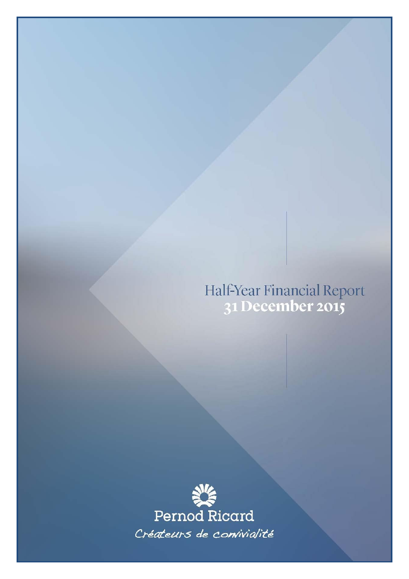Half-Year Financial Report<br>31 December 2015

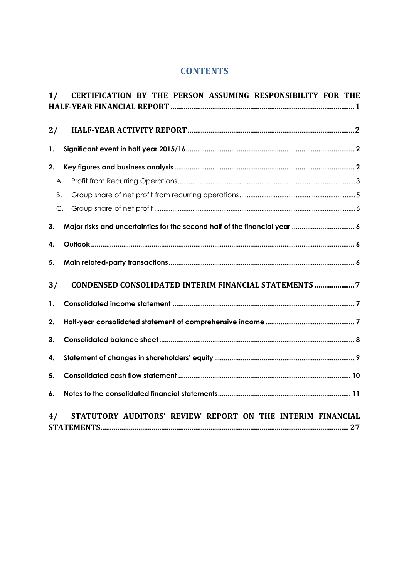# **CONTENTS**

| 1/ | CERTIFICATION BY THE PERSON ASSUMING RESPONSIBILITY FOR THE                |  |
|----|----------------------------------------------------------------------------|--|
| 2/ |                                                                            |  |
| 1. |                                                                            |  |
| 2. |                                                                            |  |
| Α. |                                                                            |  |
| B. |                                                                            |  |
| C. |                                                                            |  |
| 3. | Major risks and uncertainties for the second half of the financial year  6 |  |
| 4. |                                                                            |  |
| 5. |                                                                            |  |
| 3/ | CONDENSED CONSOLIDATED INTERIM FINANCIAL STATEMENTS 7                      |  |
| 1. |                                                                            |  |
| 2. |                                                                            |  |
| 3. |                                                                            |  |
| 4. |                                                                            |  |
| 5. |                                                                            |  |
| 6. |                                                                            |  |
| 4/ | STATUTORY AUDITORS' REVIEW REPORT ON THE INTERIM FINANCIAL                 |  |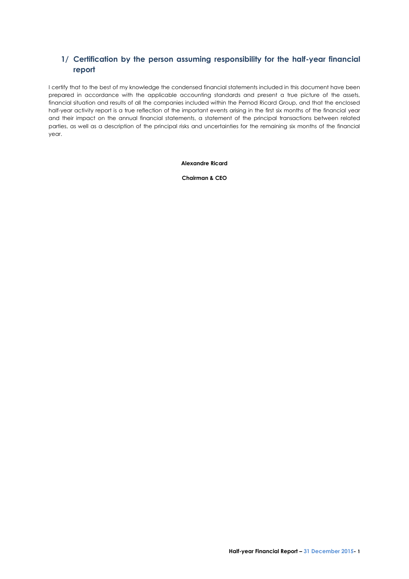# <span id="page-2-0"></span>**1/ Certification by the person assuming responsibility for the half-year financial report**

I certify that to the best of my knowledge the condensed financial statements included in this document have been prepared in accordance with the applicable accounting standards and present a true picture of the assets, financial situation and results of all the companies included within the Pernod Ricard Group, and that the enclosed half-year activity report is a true reflection of the important events arising in the first six months of the financial year and their impact on the annual financial statements, a statement of the principal transactions between related parties, as well as a description of the principal risks and uncertainties for the remaining six months of the financial year.

**Alexandre Ricard**

**Chairman & CEO**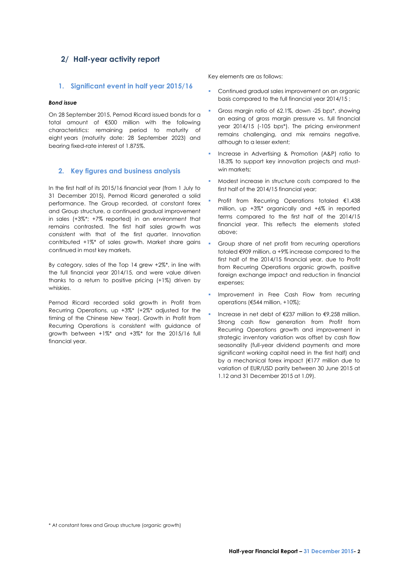# <span id="page-3-0"></span>**2/ Half-year activity report**

# <span id="page-3-1"></span>**1. Significant event in half year 2015/16**

# *Bond issue*

On 28 September 2015, Pernod Ricard issued bonds for a total amount of €500 million with the following characteristics: remaining period to maturity of eight years (maturity date: 28 September 2023) and bearing fixed-rate interest of 1.875%.

# <span id="page-3-2"></span>**2. Key figures and business analysis**

In the first half of its 2015/16 financial year (from 1 July to 31 December 2015), Pernod Ricard generated a solid performance. The Group recorded, at constant forex and Group structure, a continued gradual improvement in sales (+3%\*; +7% reported) in an environment that remains contrasted. The first half sales growth was consistent with that of the first quarter. Innovation contributed +1%\* of sales growth. Market share gains continued in most key markets.

By category, sales of the Top 14 grew +2%\*, in line with the full financial year 2014/15, and were value driven thanks to a return to positive pricing (+1%) driven by whiskies.

Pernod Ricard recorded solid growth in Profit from Recurring Operations, up +3%\* (+2%\* adjusted for the timing of the Chinese New Year). Growth in Profit from Recurring Operations is consistent with guidance of growth between +1%\* and +3%\* for the 2015/16 full financial year.

Key elements are as follows:

- Continued gradual sales improvement on an organic basis compared to the full financial year 2014/15 ;
- Gross margin ratio of 62.1%, down -25 bps\*, showing an easing of gross margin pressure vs. full financial year 2014/15 (-105 bps\*). The pricing environment remains challenging, and mix remains negative, although to a lesser extent;
- Increase in Advertising & Promotion (A&P) ratio to 18.3% to support key innovation projects and mustwin markets:
- Modest increase in structure costs compared to the first half of the 2014/15 financial year;
- Profit from Recurring Operations totaled €1,438 million, up +3%\* organically and +6% in reported terms compared to the first half of the 2014/15 financial year. This reflects the elements stated above;
- Group share of net profit from recurring operations totaled €909 million, a +9% increase compared to the first half of the 2014/15 financial year, due to Profit from Recurring Operations organic growth, positive foreign exchange impact and reduction in financial expenses;
- Improvement in Free Cash Flow from recurring operations (€544 million, +10%);
- Increase in net debt of €237 million to €9,258 million. Strong cash flow generation from Profit from Recurring Operations growth and improvement in strategic inventory variation was offset by cash flow seasonality (full-year dividend payments and more significant working capital need in the first half) and by a mechanical forex impact (€177 million due to variation of EUR/USD parity between 30 June 2015 at 1.12 and 31 December 2015 at 1.09).

<sup>\*</sup> At constant forex and Group structure (organic growth)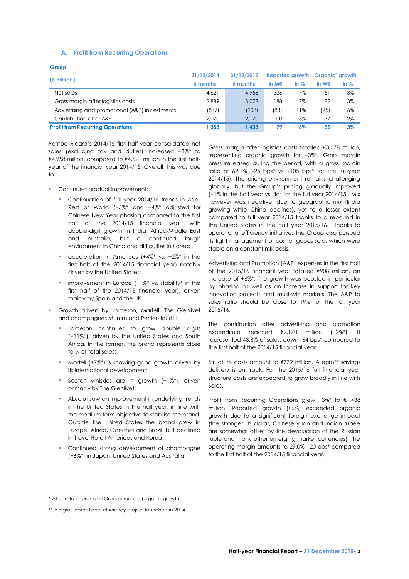# <span id="page-4-0"></span>**A. Profit from Recurring Operations**

| $\mathcal{L}$ |    |
|---------------|----|
| . .           |    |
| ×<br>____     | ŋ, |

| $(\epsilon$ million)                          | 31/12/2014 | 31/12/2015 | Reported growth Organic growth |                   |            |        |
|-----------------------------------------------|------------|------------|--------------------------------|-------------------|------------|--------|
|                                               | 6 months   | 6 months   | In $M \in$                     | $\ln \mathcal{Z}$ | In $M \in$ | In $%$ |
| Net sales                                     | 4.621      | 4.958      | 336                            | 7%                | 151        | $3\%$  |
| Gross margin after logistics costs            | 2.889      | 3.078      | 188                            | $7\%$             | 82         | 3%     |
| Advertising and promotional (A&P) investments | (819)      | (908)      | (88)                           | $1\%$             | (45)       | 6%     |
| Contribution after A&P                        | 2.070      | 2.170      | 100                            | 5%                | 37         | 2%     |
| <b>Profit from Recurring Operations</b>       | 1.358      | 1.438      | 79                             | 6%                | 35         | $3\%$  |

Pernod Ricard's 2014/15 first half-year consolidated net sales (excluding tax and duties) increased +3%\* to €4,958 million, compared to €4,621 million in the first halfyear of the financial year 2014/15. Overall, this was due to:

- **Continued gradual improvement:** 
	- Continuation of full year 2014/15 trends in Asia-Rest of World (+5%\* and +4%\* adjusted for Chinese New Year phasing compared to the first half of the 2014/15 financial year) with double-digit growth in India, Africa-Middle East and Australia, but a continued tough environment in China and difficulties in Korea;
	- acceleration in Americas (+4%\* vs. +2%\* in the first half of the 2014/15 financial year) notably driven by the United States;
	- improvement in Europe (+1%\* vs. stability\* in the first half of the 2014/15 financial year), driven mainly by Spain and the UK.
- **Growth driven by Jameson, Martell, The Glenlivet** and champagnes Mumm and Perrier-Jouët :
	- Jameson continues to grow double digits (+11%\*), driven by the United States and South Africa. In the former, the brand represents close to ¼ of total sales;
	- Martell (+7%\*) is showing good growth driven by its international development;
	- Scotch whiskies are in arowth (+1%\*), driven primarily by The Glenlivet;
	- Absolut saw an improvement in underlying trends in the United States in the half year, in line with the medium-term objective to stabilise the brand. Outside the United States the brand grew in Europe, Africa, Oceania and Brazil, but declined in Travel Retail Americas and Korea.
	- Continued strong development of champagne (+6%\*) in Japan, United States and Australia.

Gross margin after logistics costs totalled €3,078 million, representing organic growth for +3%\*. Gross margin pressure eased during the period, with a gross margin ratio of 62.1% (-25 bps\* vs. -105 bps\* for the full-year 2014/15). The pricing environment remains challenging globally, but the Group's pricing gradually improved (+1% in the half year vs. flat for the full year 2014/15). Mix however was negative, due to geographic mix (India growing while China declines), yet to a lesser extent compared to full year 2014/15 thanks to a rebound in the United States in the half year 2015/16. Thanks to operational efficiency initiatives the Group also pursued its tight management of cost of goods sold, which were stable on a constant mix basis.

Advertising and Promotion (A&P) expenses in the first half of the 2015/16 financial year totalled €908 million, an increase of +6%\*. The growth was boosted in particular by phasing as well as an increase in support for key innovation projects and must-win markets. The A&P to sales ratio should be close to 19% for the full year 2015/16.

The contribution after advertising and promotion expenditure reached €2,170 million (+2%\*). It represented 43.8% of sales, down -64 bps\* compared to the first half of the 2014/15 financial year.

Structure costs amount to €732 million. Allegro\*\* savings delivery is on track. For the 2015/16 full financial year structure costs are expected to grow broadly in line with Sales.

Profit from Recurring Operations grew +3%\* to €1,438 million. Reported growth (+6%) exceeded organic growth due to a significant foreign exchange impact (the stronger US dollar, Chinese yuan and Indian rupee are somewhat offset by the devaluation of the Russian ruble and many other emerging market currencies). The operating margin amounts to 29.0%, -20 bps\* compared to the first half of the 2014/15 financial year.

<sup>\*</sup> At constant forex and Group structure (organic growth)

<sup>\*\*</sup> Allegro: operational efficiency project launched in 2014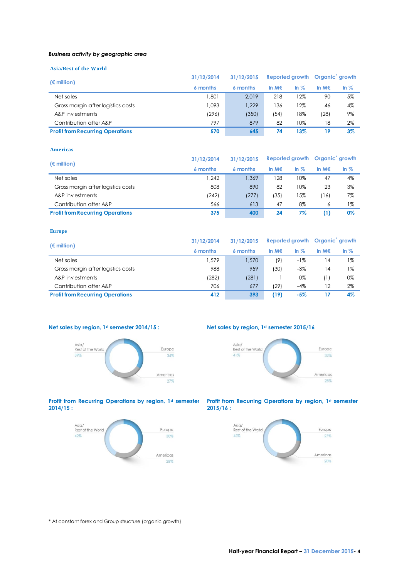### *Business activity by geographic area*

# **Asia/Rest of the World**

| $(\epsilon$ million)                    | 31/12/2014 | Reported growth Organic growth<br>31/12/2015 |                 |         |       |         |
|-----------------------------------------|------------|----------------------------------------------|-----------------|---------|-------|---------|
|                                         | 6 months   | 6 months                                     | In M $\epsilon$ | In $\%$ | In M€ | In $\%$ |
| Net sales                               | .801       | 2.019                                        | 218             | 12%     | 90    | 5%      |
| Gross margin after logistics costs      | 1.093      | 1.229                                        | 136             | 12%     | 46    | 4%      |
| A&P investments                         | (296)      | (350)                                        | (54)            | 18%     | (28)  | 9%      |
| Contribution after A&P                  | 797        | 879                                          | 82              | 10%     | 18    | 2%      |
| <b>Profit from Recurring Operations</b> | 570        | 645                                          | 74              | 13%     | 19    | $3\%$   |

#### **Americas**

| $(\epsilon$ million)                    | 31/12/2014 | 31/12/2015 | Reported growth Organic growth |         |            |        |
|-----------------------------------------|------------|------------|--------------------------------|---------|------------|--------|
|                                         | 6 months   | 6 months   | In $M \in$                     | In $\%$ | In $M \in$ | In $%$ |
| Net sales                               | .242       | 1.369      | 128                            | 10%     | 47         | 4%     |
| Gross margin after logistics costs      | 808        | 890        | 82                             | 10%     | 23         | 3%     |
| A&P investments                         | (242)      | (277)      | (35)                           | 15%     | '16)       | 7%     |
| Contribution after A&P                  | 566        | 613        | 47                             | 8%      | 6          | $1\%$  |
| <b>Profit from Recurring Operations</b> | 375        | 400        | 24                             | 7%      | (1)        | 0%     |

#### **Europe**

| $(\epsilon$ million)                    | 31/12/2014 | 31/12/2015 | Reported growth Organic growth |                   |                |        |
|-----------------------------------------|------------|------------|--------------------------------|-------------------|----------------|--------|
|                                         | 6 months   | 6 months   | In $M \in$                     | $\ln \mathcal{Z}$ | In $M \in$     | In $%$ |
| Net sales                               | 1.579      | 1,570      | (9)                            | -1%               | $\overline{4}$ | $1\%$  |
| Gross margin after logistics costs      | 988        | 959        | (30)                           | $-3\%$            | $\overline{4}$ | $1\%$  |
| A&P investments                         | (282)      | (281)      |                                | 0%                | (1)            | 0%     |
| Contribution after A&P                  | 706        | 677        | (29)                           | -4%               | 12             | 2%     |
| <b>Profit from Recurring Operations</b> | 412        | 393        | (19)                           | $-5%$             | 17             | 4%     |

# **Net sales by region, 1st semester 2014/15 : Net sales by region, 1st semester 2015/16**





#### **Profit from Recurring Operations by region, 1st semester 2014/15 :**







\* At constant forex and Group structure (organic growth)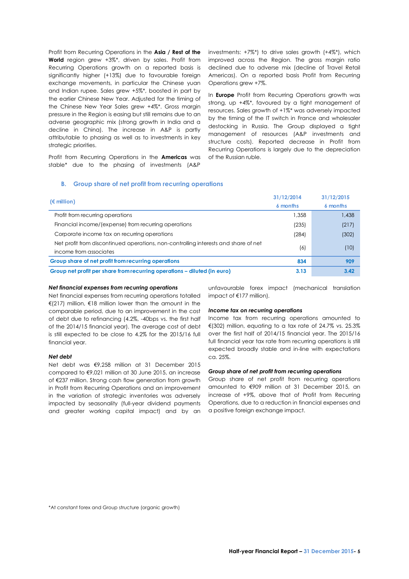Profit from Recurring Operations in the **Asia / Rest of the World** region grew +3%\*, driven by sales. Profit from Recurring Operations growth on a reported basis is significantly higher (+13%) due to favourable foreign exchange movements, in particular the Chinese yuan and Indian rupee. Sales grew +5%\*, boosted in part by the earlier Chinese New Year. Adjusted for the timing of the Chinese New Year Sales grew +4%\*. Gross margin pressure in the Region is easing but still remains due to an adverse geographic mix (strong growth in India and a decline in China). The increase in A&P is partly attributable to phasing as well as to investments in key strategic priorities.

Profit from Recurring Operations in the **Americas** was stable\* due to the phasing of investments (A&P

investments: +7%\*) to drive sales growth (+4%\*), which improved across the Region. The gross margin ratio declined due to adverse mix (decline of Travel Retail Americas). On a reported basis Profit from Recurring Operations grew +7%.

In **Europe** Profit from Recurring Operations growth was strong, up +4%\*, favoured by a tight management of resources. Sales growth of +1%\* was adversely impacted by the timing of the IT switch in France and wholesaler destocking in Russia. The Group displayed a tight management of resources (A&P investments and structure costs). Reported decrease in Profit from Recurring Operations is largely due to the depreciation of the Russian ruble.

# <span id="page-6-0"></span>**B. Group share of net profit from recurring operations**

| $(\epsilon$ million)                                                                | 31/12/2014 | 31/12/2015 |
|-------------------------------------------------------------------------------------|------------|------------|
|                                                                                     | 6 months   | 6 months   |
| Profit from recurring operations                                                    | 1.358      | 1,438      |
| Financial income/(expense) from recurring operations                                | (235)      | (217)      |
| Corporate income tax on recurring operations                                        | (284)      | (302)      |
| Net profit from discontinued operations, non-controlling interests and share of net | (6)        | (10)       |
| income from associates                                                              |            |            |
| Group share of net profit from recurring operations                                 | 834        | 909        |
| Group net profit per share from recurring operations – diluted (in euro)            | 3.13       | 3.42       |

# *Net financial expenses from recurring operations*

Net financial expenses from recurring operations totalled €(217) million, €18 million lower than the amount in the comparable period, due to an improvement in the cost of debt due to refinancing (4.2%, -40bps vs. the first half of the 2014/15 financial year). The average cost of debt is still expected to be close to 4.2% for the 2015/16 full financial year.

# *Net debt*

Net debt was €9,258 million at 31 December 2015 compared to €9,021 million at 30 June 2015, an increase of €237 million. Strong cash flow generation from growth in Profit from Recurring Operations and an improvement in the variation of strategic inventories was adversely impacted by seasonality (full-year dividend payments and greater working capital impact) and by an

unfavourable forex impact (mechanical translation impact of €177 million).

# *Income tax on recurring operations*

Income tax from recurring operations amounted to €(302) million, equating to a tax rate of 24.7% vs. 25.3% over the first half of 2014/15 financial year. The 2015/16 full financial year tax rate from recurring operations is still expected broadly stable and in-line with expectations ca. 25%.

# *Group share of net profit from recurring operations*

Group share of net profit from recurring operations amounted to €909 million at 31 December 2015, an increase of +9%, above that of Profit from Recurring Operations, due to a reduction in financial expenses and a positive foreign exchange impact.

\*At constant forex and Group structure (organic growth)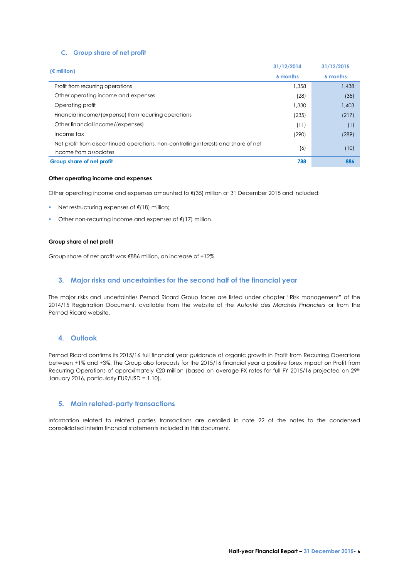# <span id="page-7-0"></span>**C. Group share of net profit**

|                                                                                     | 31/12/2014 | 31/12/2015 |
|-------------------------------------------------------------------------------------|------------|------------|
| $(\epsilon$ million)                                                                | 6 months   | 6 months   |
| Profit from recurring operations                                                    | 1.358      | 1,438      |
| Other operating income and expenses                                                 | (28)       | (35)       |
| Operating profit                                                                    | 1.330      | 1,403      |
| Financial income/(expense) from recurring operations                                | (235)      | (217)      |
| Other financial income/(expenses)                                                   | (11)       | (1)        |
| Income tax                                                                          | (290)      | (289)      |
| Net profit from discontinued operations, non-controlling interests and share of net |            |            |
| income from associates                                                              | (6)        | (10)       |
| Group share of net profit                                                           | 788        | 886        |

### **Other operating income and expenses**

Other operating income and expenses amounted to €(35) million at 31 December 2015 and included:

- Net restructuring expenses of €(18) million;
- Other non-recurring income and expenses of €(17) million.

# **Group share of net profit**

Group share of net profit was €886 million, an increase of +12%.

# <span id="page-7-1"></span>**3. Major risks and uncertainties for the second half of the financial year**

The major risks and uncertainties Pernod Ricard Group faces are listed under chapter "Risk management" of the 2014/15 Registration Document, available from the website of the *Autorité des Marchés Financiers* or from the Pernod Ricard website.

# <span id="page-7-2"></span>**4. Outlook**

Pernod Ricard confirms its 2015/16 full financial year guidance of organic growth in Profit from Recurring Operations between +1% and +3%. The Group also forecasts for the 2015/16 financial year a positive forex impact on Profit from Recurring Operations of approximately €20 million (based on average FX rates for full FY 2015/16 projected on 29<sup>th</sup> January 2016, particularly EUR/USD = 1.10).

# <span id="page-7-3"></span>**5. Main related-party transactions**

Information related to related parties transactions are detailed in note 22 of the notes to the condensed consolidated interim financial statements included in this document.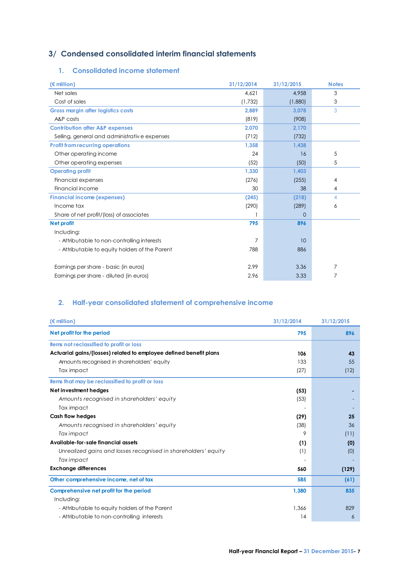# <span id="page-8-0"></span>**3/ Condensed consolidated interim financial statements**

# <span id="page-8-1"></span>**1. Consolidated income statement**

| $(\epsilon$ million)                           | 31/12/2014 | 31/12/2015  | <b>Notes</b> |
|------------------------------------------------|------------|-------------|--------------|
| Net sales                                      | 4,621      | 4,958       | 3            |
| Cost of sales                                  | (1,732)    | (1,880)     | 3            |
| <b>Gross margin after logistics costs</b>      | 2,889      | 3,078       | 3            |
| A&P costs                                      | (819)      | (908)       |              |
| <b>Contribution after A&amp;P expenses</b>     | 2,070      | 2,170       |              |
| Selling, general and administrative expenses   | (712)      | (732)       |              |
| <b>Profit from recurring operations</b>        | 1,358      | 1,438       |              |
| Other operating income                         | 24         | 16          | 5            |
| Other operating expenses                       | (52)       | (50)        | 5            |
| <b>Operating profit</b>                        | 1,330      | 1,403       |              |
| Financial expenses                             | (276)      | (255)       | 4            |
| Financial income                               | 30         | 38          | 4            |
| <b>Financial income (expenses)</b>             | (245)      | (218)       | 4            |
| Income tax                                     | (290)      | (289)       | 6            |
| Share of net profit/(loss) of associates       |            | $\mathbf 0$ |              |
| Net profit                                     | 795        | 896         |              |
| Including:                                     |            |             |              |
| - Attributable to non-controlling interests    | 7          | 10          |              |
| - Attributable to equity holders of the Parent | 788        | 886         |              |
|                                                |            |             |              |
| Earnings per share - basic (in euros)          | 2.99       | 3.36        | 7            |
| Earnings per share - diluted (in euros)        | 2.96       | 3.33        |              |

# <span id="page-8-2"></span>**2. Half-year consolidated statement of comprehensive income**

| $(\epsilon$ million)                                               | 31/12/2014 | 31/12/2015 |
|--------------------------------------------------------------------|------------|------------|
| Net profit for the period                                          | 795        | 896        |
| <b>Items not reclassified to profit or loss</b>                    |            |            |
| Actuarial gains/(losses) related to employee defined benefit plans | 106        | 43         |
| Amounts recognised in shareholders' equity                         | 133        | 55         |
| Tax impact                                                         | (27)       | (12)       |
| <b>Items that may be reclassified to profit or loss</b>            |            |            |
| Net investment hedges                                              | (53)       |            |
| Amounts recognised in shareholders' equity                         | (53)       |            |
| Tax impact                                                         |            |            |
| <b>Cash flow hedges</b>                                            | (29)       | 25         |
| Amounts recognised in shareholders' equity                         | (38)       | 36         |
| Tax impact                                                         | 9          | (11)       |
| Available-for-sale financial assets                                | (1)        | (0)        |
| Unrealized gains and losses recognised in shareholders' equity     | (1)        | (0)        |
| Tax impact                                                         |            |            |
| <b>Exchange differences</b>                                        | 560        | (129)      |
| Other comprehensive income, net of tax                             | 585        | (61)       |
| Comprehensive net profit for the period                            | 1,380      | 835        |
| Including:                                                         |            |            |
| - Attributable to equity holders of the Parent                     | 1,366      | 829        |
| - Attributable to non-controlling interests                        | 14         | 6          |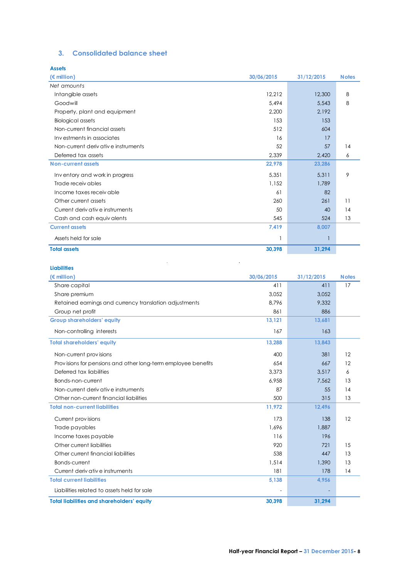# <span id="page-9-0"></span>**3. Consolidated balance sheet**

| <b>Assets</b>                      |            |            |              |
|------------------------------------|------------|------------|--------------|
| $(\epsilon$ million)               | 30/06/2015 | 31/12/2015 | <b>Notes</b> |
| Net amounts                        |            |            |              |
| Intangible assets                  | 12,212     | 12,300     | 8            |
| Goodwill                           | 5,494      | 5,543      | 8            |
| Property, plant and equipment      | 2,200      | 2,192      |              |
| <b>Biological assets</b>           | 153        | 153        |              |
| Non-current financial assets       | 512        | 604        |              |
| Investments in associates          | 16         | 17         |              |
| Non-current derivative instruments | 52         | 57         | 14           |
| Deferred tax assets                | 2,339      | 2,420      | 6            |
| <b>Non-current assets</b>          | 22,978     | 23,286     |              |
| Inventory and work in progress     | 5,351      | 5,311      | 9            |
| Trade receivables                  | 1,152      | 1.789      |              |
| Income taxes receivable            | 61         | 82         |              |
| Other current assets               | 260        | 261        | 11           |
| Current derivative instruments     | 50         | 40         | 14           |
| Cash and cash equivalents          | 545        | 524        | 13           |
| <b>Current assets</b>              | 7,419      | 8,007      |              |
| Assets held for sale               |            |            |              |
| <b>Total assets</b>                | 30,398     | 31,294     |              |

 $\mathcal{L}_{\mathcal{A}}$ 

 $\sim 10^{11}$ 

# **Liabilities**

| (€ million)                                                   | 30/06/2015 | 31/12/2015               | <b>Notes</b> |
|---------------------------------------------------------------|------------|--------------------------|--------------|
| Share capital                                                 | 411        | 411                      | 17           |
| Share premium                                                 | 3.052      | 3,052                    |              |
| Retained earnings and currency translation adjustments        | 8.796      | 9,332                    |              |
| Group net profit                                              | 861        | 886                      |              |
| <b>Group shareholders' equity</b>                             | 13,121     | 13,681                   |              |
| Non-controlling interests                                     | 167        | 163                      |              |
| <b>Total shareholders' equity</b>                             | 13,288     | 13,843                   |              |
| Non-current provisions                                        | 400        | 381                      | 12           |
| Provisions for pensions and other long-term employee benefits | 654        | 667                      | 12           |
| Deferred tax liabilities                                      | 3.373      | 3,517                    | 6            |
| Bonds-non-current                                             | 6,958      | 7,562                    | 13           |
| Non-current derivative instruments                            | 87         | 55                       | 14           |
| Other non-current financial liabilities                       | 500        | 315                      | 13           |
| <b>Total non-current liabilities</b>                          | 11,972     | 12,496                   |              |
| Current provisions                                            | 173        | 138                      | 12           |
| Trade payables                                                | 1.696      | 1,887                    |              |
| Income taxes payable                                          | 116        | 196                      |              |
| Other current liabilities                                     | 920        | 721                      | 15           |
| Other current financial liabilities                           | 538        | 447                      | 13           |
| Bonds-current                                                 | 1,514      | 1,390                    | 13           |
| Current derivative instruments                                | 181        | 178                      | 14           |
| <b>Total current liabilities</b>                              | 5,138      | 4,956                    |              |
| Liabilities related to assets held for sale                   |            | $\overline{\phantom{a}}$ |              |
| <b>Total liabilities and shareholders' equity</b>             | 30,398     | 31,294                   |              |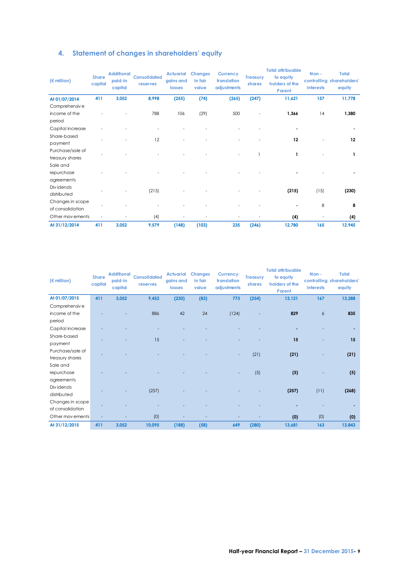# <span id="page-10-0"></span>**4. Statement of changes in shareholders' equity**

| $(\epsilon \text{ million})$ | <b>Share</b><br>capital | <b>Additional</b><br>paid-in<br>capital | <b>Consolidated</b><br>reserves | <b>Actuarial</b><br>gains and<br>losses | <b>Changes</b><br>in fair<br>value | <b>Currency</b><br>translation<br>adjustments | <b>Treasury</b><br>shares | <b>Total attribuable</b><br>to equity<br>holders of the<br>Parent | Non-<br>interests | <b>Total</b><br>controlling shareholders'<br>equity |
|------------------------------|-------------------------|-----------------------------------------|---------------------------------|-----------------------------------------|------------------------------------|-----------------------------------------------|---------------------------|-------------------------------------------------------------------|-------------------|-----------------------------------------------------|
| At 01/07/2014                | 411                     | 3,052                                   | 8,998                           | (255)                                   | (74)                               | (265)                                         | (247)                     | 11,621                                                            | 157               | 11,778                                              |
| Comprehensiv e               |                         |                                         |                                 |                                         |                                    |                                               |                           |                                                                   |                   |                                                     |
| income of the                |                         |                                         | 788                             | 106                                     | (29)                               | 500                                           |                           | 1,366                                                             | 14                | 1,380                                               |
| period                       |                         |                                         |                                 |                                         |                                    |                                               |                           |                                                                   |                   |                                                     |
| Capital increase             |                         |                                         |                                 |                                         |                                    |                                               |                           |                                                                   |                   |                                                     |
| Share-based                  |                         |                                         | 12                              |                                         |                                    |                                               |                           | 12                                                                |                   | 12                                                  |
| payment                      |                         |                                         |                                 |                                         |                                    |                                               |                           |                                                                   |                   |                                                     |
| Purchase/sale of             |                         |                                         |                                 |                                         |                                    |                                               |                           | 1                                                                 |                   |                                                     |
| treasury shares              |                         |                                         |                                 |                                         |                                    |                                               |                           |                                                                   |                   |                                                     |
| Sale and                     |                         |                                         |                                 |                                         |                                    |                                               |                           |                                                                   |                   |                                                     |
| repurchase                   |                         |                                         |                                 |                                         |                                    |                                               |                           |                                                                   |                   |                                                     |
| agreements                   |                         |                                         |                                 |                                         |                                    |                                               |                           |                                                                   |                   |                                                     |
| Div idends                   |                         |                                         | (215)                           |                                         |                                    |                                               |                           | (215)                                                             | (15)              | (230)                                               |
| distributed                  |                         |                                         |                                 |                                         |                                    |                                               |                           |                                                                   |                   |                                                     |
| Changes in scope             |                         |                                         |                                 |                                         |                                    |                                               |                           |                                                                   | 8                 | 8                                                   |
| of consolidation             |                         |                                         |                                 |                                         |                                    |                                               |                           |                                                                   |                   |                                                     |
| Other mov ements             | $\overline{a}$          |                                         | (4)                             |                                         |                                    |                                               |                           | (4)                                                               | $\overline{a}$    | (4)                                                 |
| At 31/12/2014                | 411                     | 3,052                                   | 9,579                           | (148)                                   | (103)                              | 235                                           | (246)                     | 12,780                                                            | 165               | 12,945                                              |

| $(\epsilon$ million) | <b>Share</b><br>capital | <b>Additional</b><br>paid-in<br>capital | <b>Consolidated</b><br>reserves | <b>Actuarial</b><br>gains and<br>losses | <b>Changes</b><br>in fair<br>value | <b>Currency</b><br>translation<br>adjustments | <b>Treasury</b><br>shares | <b>Total attribuable</b><br>to equity<br>holders of the<br>Parent | Non-<br>interests | <b>Total</b><br>controlling shareholders'<br>equity |
|----------------------|-------------------------|-----------------------------------------|---------------------------------|-----------------------------------------|------------------------------------|-----------------------------------------------|---------------------------|-------------------------------------------------------------------|-------------------|-----------------------------------------------------|
| At 01/07/2015        | 411                     | 3,052                                   | 9,452                           | (230)                                   | (83)                               | 773                                           | (254)                     | 13,121                                                            | 167               | 13,288                                              |
| Comprehensiv e       |                         |                                         |                                 |                                         |                                    |                                               |                           |                                                                   |                   |                                                     |
| income of the        |                         |                                         | 886                             | 42                                      | 24                                 | (124)                                         |                           | 829                                                               | 6                 | 835                                                 |
| period               |                         |                                         |                                 |                                         |                                    |                                               |                           |                                                                   |                   |                                                     |
| Capital increase     |                         |                                         |                                 |                                         |                                    |                                               |                           |                                                                   |                   |                                                     |
| Share-based          |                         |                                         | 15                              |                                         |                                    |                                               |                           | 15                                                                |                   | 15                                                  |
| payment              |                         |                                         |                                 |                                         |                                    |                                               |                           |                                                                   |                   |                                                     |
| Purchase/sale of     |                         |                                         |                                 |                                         |                                    |                                               | (21)                      | (21)                                                              |                   | (21)                                                |
| treasury shares      |                         |                                         |                                 |                                         |                                    |                                               |                           |                                                                   |                   |                                                     |
| Sale and             |                         |                                         |                                 |                                         |                                    |                                               |                           |                                                                   |                   |                                                     |
| repurchase           |                         |                                         |                                 |                                         |                                    |                                               | (5)                       | (5)                                                               |                   | (5)                                                 |
| agreements           |                         |                                         |                                 |                                         |                                    |                                               |                           |                                                                   |                   |                                                     |
| Dividends            |                         |                                         | (257)                           |                                         |                                    |                                               |                           | (257)                                                             | (11)              | (268)                                               |
| distributed          |                         |                                         |                                 |                                         |                                    |                                               |                           |                                                                   |                   |                                                     |
| Changes in scope     |                         |                                         |                                 |                                         |                                    |                                               |                           |                                                                   |                   |                                                     |
| of consolidation     |                         |                                         |                                 |                                         |                                    |                                               |                           |                                                                   |                   |                                                     |
| Other movements      |                         |                                         | (0)                             |                                         |                                    |                                               |                           | (0)                                                               | (0)               | (0)                                                 |
| At 31/12/2015        | 411                     | 3,052                                   | 10,095                          | (188)                                   | (58)                               | 649                                           | (280)                     | 13,681                                                            | 163               | 13,843                                              |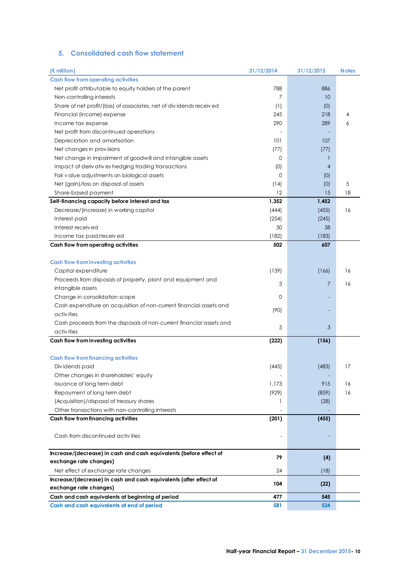# <span id="page-11-0"></span>**5. Consolidated cash flow statement**

| $(\epsilon$ million)                                                 | 31/12/2014   | 31/12/2015     | <b>Notes</b> |
|----------------------------------------------------------------------|--------------|----------------|--------------|
| <b>Cash flow from operating activities</b>                           |              |                |              |
| Net profit attributable to equity holders of the parent              | 788          | 886            |              |
| Non-controlling interests                                            | 7            | 10             |              |
| Share of net profit/(loss) of associates, net of dividends received  | (1)          | (0)            |              |
| Financial (income) expense                                           | 245          | 218            | 4            |
| Income tax expense                                                   | 290          | 289            | 6            |
| Net profit from discontinued operations                              |              |                |              |
| Depreciation and amortisation                                        | 101          | 107            |              |
| Net changes in provisions                                            | (77)         | (77)           |              |
| Net change in impairment of goodwill and intangible assets           | $\mathbf{0}$ | $\mathbf{1}$   |              |
| Impact of derivatives hedging trading transactions                   | (0)          | $\overline{4}$ |              |
| Fair v alue adjustments on biological assets                         | 0            | (0)            |              |
| Net (gain)/loss on disposal of assets                                | (14)         | (0)            | 5            |
| Share-based payment                                                  | 12           | 15             | 18           |
| Self-financing capacity before interest and tax                      | 1,352        | 1,452          |              |
| Decrease/(increase) in working capital                               | (444)        | (455)          | 16           |
| Interest paid                                                        | (254)        | (245)          |              |
| Interest received                                                    | 30           | 38             |              |
| Income tax paid/received                                             | (182)        | (183)          |              |
| Cash flow from operating activities                                  | 502          | 607            |              |
| <b>Cash flow from investing activities</b>                           |              |                |              |
| Capital expenditure                                                  | (139)        | (166)          | 16           |
| Proceeds from disposals of property, plant and equipment and         |              |                |              |
| intangible assets                                                    | 3            | $\overline{7}$ | 16           |
| Change in consolidation scope                                        | $\mathbf{0}$ |                |              |
| Cash expenditure on acquisition of non-current financial assets and  |              |                |              |
| activities                                                           | (90)         |                |              |
| Cash proceeds from the disposals of non-current financial assets and |              |                |              |
| activities                                                           | 5            | 3              |              |
| Cash flow from investing activities                                  | (222)        | (156)          |              |
|                                                                      |              |                |              |
| <b>Cash flow from financing activities</b>                           |              |                |              |
| Dividends paid                                                       | (445)        | (483)          | 17           |
| Other changes in shareholders' equity                                |              |                |              |
| Issuance of long term debt                                           | 1,173        | 915            | 16           |
| Repayment of long term debt                                          | (929)        | (859)          | 16           |
| (Acquisition)/disposal of treasury shares                            | 1            | (28)           |              |
| Other transactions with non-controlling interests                    |              |                |              |
| Cash flow from financing activities                                  | (201)        | (455)          |              |
|                                                                      |              |                |              |
| Cash from discontinued activities                                    |              |                |              |
| Increase/(decrease) in cash and cash equivalents (before effect of   | 79           | (4)            |              |
| exchange rate changes)                                               |              |                |              |
| Net effect of exchange rate changes                                  | 24           | (18)           |              |
| Increase/(decrease) in cash and cash equivalents (after effect of    | 104          | (22)           |              |
| exchange rate changes)                                               |              |                |              |
| Cash and cash equivalents at beginning of period                     | 477          | 545            |              |
| Cash and cash equivalents at end of period                           | 581          | 524            |              |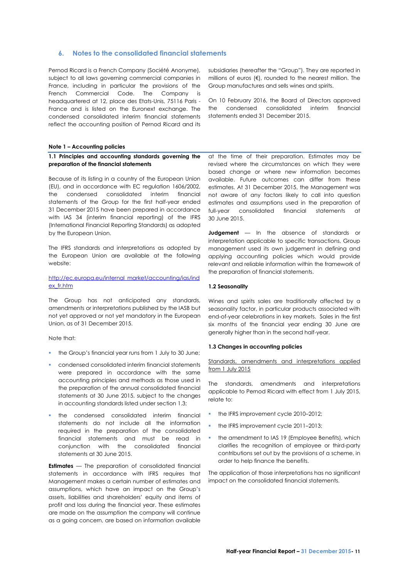# <span id="page-12-0"></span>**6. Notes to the consolidated financial statements**

Pernod Ricard is a French Company (Société Anonyme), subject to all laws governing commercial companies in France, including in particular the provisions of the French Commercial Code. The Company is headquartered at 12, place des Etats-Unis, 75116 Paris - France and is listed on the Euronext exchange. The condensed consolidated interim financial statements reflect the accounting position of Pernod Ricard and its

# **Note 1 – Accounting policies**

### **1.1 Principles and accounting standards governing the preparation of the financial statements**

Because of its listing in a country of the European Union (EU), and in accordance with EC regulation 1606/2002, the condensed consolidated interim financial statements of the Group for the first half-year ended 31 December 2015 have been prepared in accordance with IAS 34 (interim financial reporting) of the IFRS (International Financial Reporting Standards) as adopted by the European Union.

The IFRS standards and interpretations as adopted by the European Union are available at the following website:

# [http://ec.europa.eu/internal\\_market/accounting/ias/ind](http://ec.europa.eu/internal_market/accounting/ias/index_fr.htm) [ex\\_fr.htm](http://ec.europa.eu/internal_market/accounting/ias/index_fr.htm)

The Group has not anticipated any standards, amendments or interpretations published by the IASB but not yet approved or not yet mandatory in the European Union, as of 31 December 2015.

Note that:

- the Group's financial year runs from 1 July to 30 June;
- condensed consolidated interim financial statements were prepared in accordance with the same accounting principles and methods as those used in the preparation of the annual consolidated financial statements at 30 June 2015, subject to the changes in accounting standards listed under section 1.3;
- the condensed consolidated interim financial statements do not include all the information required in the preparation of the consolidated financial statements and must be read in conjunction with the consolidated financial statements at 30 June 2015.

**Estimates** — The preparation of consolidated financial statements in accordance with IFRS requires that Management makes a certain number of estimates and assumptions, which have an impact on the Group's assets, liabilities and shareholders' equity and items of profit and loss during the financial year. These estimates are made on the assumption the company will continue as a going concern, are based on information available

subsidiaries (hereafter the "Group"). They are reported in millions of euros  $(€)$ , rounded to the nearest million. The Group manufactures and sells wines and spirits.

On 10 February 2016, the Board of Directors approved the condensed consolidated interim financial statements ended 31 December 2015.

at the time of their preparation. Estimates may be revised where the circumstances on which they were based change or where new information becomes available. Future outcomes can differ from these estimates. At 31 December 2015, the Management was not aware of any factors likely to call into question estimates and assumptions used in the preparation of full-year consolidated financial statements at 30 June 2015.

**Judgement** — In the absence of standards or interpretation applicable to specific transactions, Group management used its own judgement in defining and applying accounting policies which would provide relevant and reliable information within the framework of the preparation of financial statements.

#### **1.2 Seasonality**

Wines and spirits sales are traditionally affected by a seasonality factor, in particular products associated with end-of-year celebrations in key markets. Sales in the first six months of the financial year ending 30 June are generally higher than in the second half-year.

#### **1.3 Changes in accounting policies**

Standards, amendments and interpretations applied from 1 July 2015

The standards, amendments and interpretations applicable to Pernod Ricard with effect from 1 July 2015, relate to:

- the IFRS improvement cycle 2010-2012;
- the IFRS improvement cycle 2011–2013;
- **the amendment to IAS 19 (Employee Benefits), which** clarifies the recognition of employee or third-party contributions set out by the provisions of a scheme, in order to help finance the benefits.

The application of those interpretations has no significant impact on the consolidated financial statements.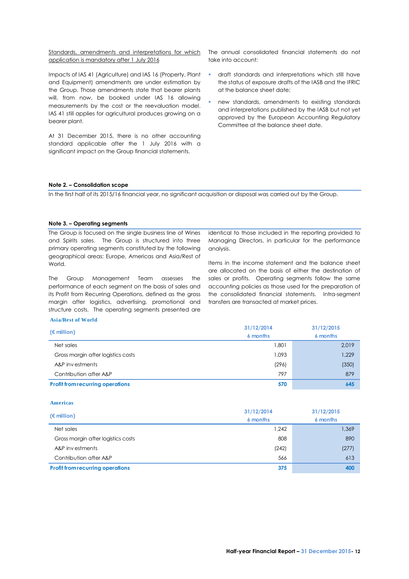Standards, amendments and interpretations for which application is mandatory after 1 July 2016

Impacts of IAS 41 (Agriculture) and IAS 16 (Property, Plant and Equipment) amendments are under estimation by the Group. Those amendments state that bearer plants will, from now, be booked under IAS 16 allowing measurements by the cost or the reevaluation model. IAS 41 still applies for agricultural produces growing on a bearer plant.

At 31 December 2015, there is no other accounting standard applicable after the 1 July 2016 with a significant impact on the Group financial statements.

The annual consolidated financial statements do not take into account:

- draft standards and interpretations which still have the status of exposure drafts of the IASB and the IFRIC at the balance sheet date;
- new standards, amendments to existing standards and interpretations published by the IASB but not yet approved by the European Accounting Regulatory Committee at the balance sheet date.

### **Note 2. – Consolidation scope**

In the first half of its 2015/16 financial year, no significant acquisition or disposal was carried out by the Group.

# **Note 3. – Operating segments**

The Group is focused on the single business line of Wines and Spirits sales. The Group is structured into three primary operating segments constituted by the following geographical areas: Europe, Americas and Asia/Rest of World.

The Group Management Team assesses the performance of each segment on the basis of sales and its Profit from Recurring Operations, defined as the gross margin after logistics, advertising, promotional and structure costs. The operating segments presented are

identical to those included in the reporting provided to Managing Directors, in particular for the performance analysis.

Items in the income statement and the balance sheet are allocated on the basis of either the destination of sales or profits. Operating segments follow the same accounting policies as those used for the preparation of the consolidated financial statements. Intra-segment transfers are transacted at market prices.

#### **Asia/Rest of World**

| $(\epsilon$ million)                    | 31/12/2014<br>6 months | 31/12/2015<br>6 months |
|-----------------------------------------|------------------------|------------------------|
| Net sales                               | 1,801                  | 2,019                  |
| Gross margin after logistics costs      | 1.093                  | 1,229                  |
| A&P investments                         | (296)                  | (350)                  |
| Contribution after A&P                  | 797                    | 879                    |
| <b>Profit from recurring operations</b> | 570                    | 645                    |

#### **Americas**

|                                         | 31/12/2014 | 31/12/2015 |  |
|-----------------------------------------|------------|------------|--|
| $(\epsilon$ million)                    | 6 months   | 6 months   |  |
| Net sales                               | 1,242      | 1,369      |  |
| Gross margin after logistics costs      | 808        | 890        |  |
| A&P investments                         | (242)      | (277)      |  |
| Contribution after A&P                  | 566        | 613        |  |
| <b>Profit from recurring operations</b> | 375        | 400        |  |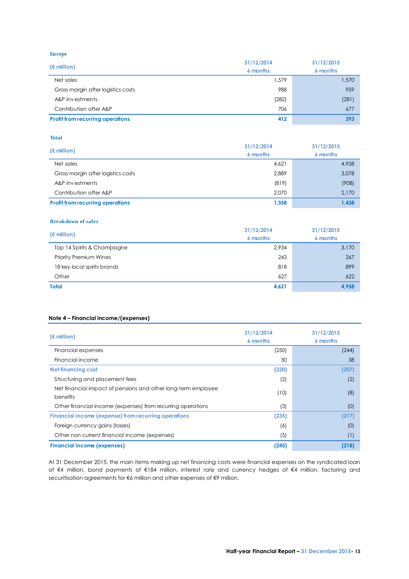**Europe**

| $(\epsilon$ million)                    | 31/12/2014 | 31/12/2015<br>6 months |  |
|-----------------------------------------|------------|------------------------|--|
|                                         | 6 months   |                        |  |
| Net sales                               | 1,579      | 1,570                  |  |
| Gross margin after logistics costs      | 988        | 959                    |  |
| A&P investments                         | (282)      | (281)                  |  |
| Contribution after A&P                  | 706        | 677                    |  |
| <b>Profit from recurring operations</b> | 412        | 393                    |  |

# **Total**

| $(\epsilon$ million)                    | 31/12/2014 | 31/12/2015<br>6 months |  |
|-----------------------------------------|------------|------------------------|--|
|                                         | 6 months   |                        |  |
| Net sales                               | 4,621      | 4,958                  |  |
| Gross margin after logistics costs      | 2,889      | 3,078                  |  |
| A&P investments                         | (819)      | (908)                  |  |
| Contribution after A&P                  | 2.070      | 2,170                  |  |
| <b>Profit from recurring operations</b> | 1.358      | 1.438                  |  |

#### **Breakdown of sales**

| $(\epsilon$ million)          | 31/12/2014<br>6 months | 31/12/2015<br>6 months |
|-------------------------------|------------------------|------------------------|
| Top 14 Spirits & Champagne    | 2,934                  | 3,170                  |
| <b>Priority Premium Wines</b> | 243                    | 267                    |
| 18 key local spirits brands   | 818                    | 899                    |
| Other                         | 627                    | 622                    |
| <b>Total</b>                  | 4,621                  | 4,958                  |

# **Note 4 – Financial income/(expenses)**

| $(\epsilon$ million)                                                             | 31/12/2014<br>6 months | 31/12/2015<br>6 months |
|----------------------------------------------------------------------------------|------------------------|------------------------|
| Financial expenses                                                               | (250)                  | (244)                  |
| Financial income                                                                 | 30                     | 38                     |
| <b>Net financing cost</b>                                                        | (220)                  | (207)                  |
| Structuring and placement fees                                                   | (2)                    | (2)                    |
| Net financial impact of pensions and other long-term employee<br><b>benefits</b> | (10)                   | (8)                    |
| Other financial income (expenses) from recurring operations                      | (3)                    | (0)                    |
| <b>Financial income (expense) from recurring operations</b>                      | (235)                  | (217)                  |
| Foreign currency gains (losses)                                                  | (6)                    | (0)                    |
| Other non current financial income (expenses)                                    | (5)                    | (1)                    |
| <b>Financial income (expenses)</b>                                               | (245)                  | (218)                  |

At 31 December 2015, the main items making up net financing costs were financial expenses on the syndicated loan of €4 million, bond payments of €184 million, interest rate and currency hedges of €4 million, factoring and securitisation agreements for €6 million and other expenses of €9 million.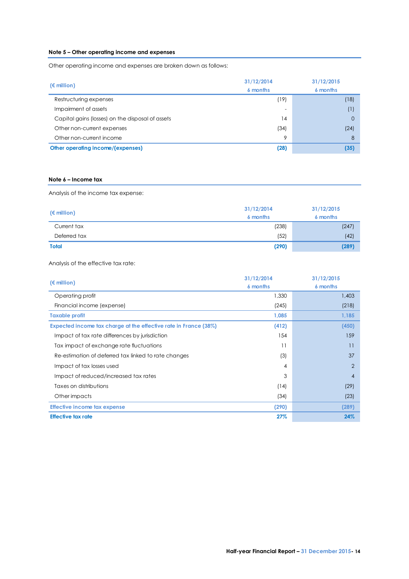# **Note 5 – Other operating income and expenses**

Other operating income and expenses are broken down as follows:

| $(\epsilon$ million)                             | 31/12/2014<br>6 months | 31/12/2015<br>6 months |
|--------------------------------------------------|------------------------|------------------------|
| Restructuring expenses                           | (19)                   | (18)                   |
| Impairment of assets                             |                        | (1)                    |
| Capital gains (losses) on the disposal of assets | 14                     | $\mathbf 0$            |
| Other non-current expenses                       | (34)                   | (24)                   |
| Other non-current income                         | 9                      | 8                      |
| Other operating income/(expenses)                | (28)                   | (35)                   |

# **Note 6 – Income tax**

Analysis of the income tax expense:

| $(\epsilon$ million) | 31/12/2014<br>6 months | 31/12/2015<br>6 months |
|----------------------|------------------------|------------------------|
| Current tax          | (238)                  | (247)                  |
| Deferred tax         | (52)                   | (42)                   |
| <b>Total</b>         | (290)                  | (289)                  |

Analysis of the effective tax rate:

|                                                                  | 31/12/2014      | 31/12/2015<br>6 months |  |
|------------------------------------------------------------------|-----------------|------------------------|--|
| $(\epsilon$ million)                                             | 6 months        |                        |  |
| Operating profit                                                 | 1,330           | 1,403                  |  |
| Financial income (expense)                                       | (245)           | (218)                  |  |
| <b>Taxable profit</b>                                            | 1,085           | 1,185                  |  |
| Expected income tax charge at the effective rate in France (38%) | (412)           | (450)                  |  |
| Impact of tax rate differences by jurisdiction                   | 154             | 159                    |  |
| Tax impact of exchange rate fluctuations                         | $\overline{11}$ | 11                     |  |
| Re-estimation of deferred tax linked to rate changes             | (3)             | 37                     |  |
| Impact of tax losses used                                        | 4               | $\overline{2}$         |  |
| Impact of reduced/increased tax rates                            | 3               | $\overline{4}$         |  |
| Taxes on distributions                                           | (14)            | (29)                   |  |
| Other impacts                                                    | (34)            | (23)                   |  |
| <b>Effective income tax expense</b>                              | (290)           | (289)                  |  |
| <b>Effective tax rate</b>                                        | 27%             | 24%                    |  |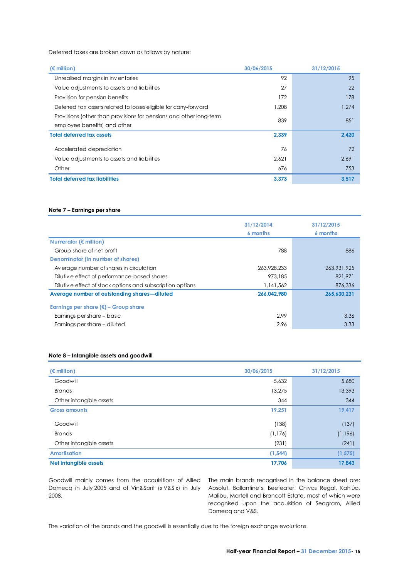Deferred taxes are broken down as follows by nature:

| Deferred taxes are broken down as follows by nature:               |            |            |
|--------------------------------------------------------------------|------------|------------|
| $(\epsilon$ million)                                               | 30/06/2015 | 31/12/2015 |
| Unrealised margins in inventories                                  | 92         | 95         |
| Value adjustments to assets and liabilities                        | 27         | 22         |
| Provision for pension benefits                                     | 172        | 178        |
| Deferred tax assets related to losses eligible for carry-forward   | 1,208      | 1,274      |
| Provisions (other than provisions for pensions and other long-term | 839        | 851        |
| employee benefits) and other                                       |            |            |
| <b>Total deferred tax assets</b>                                   | 2,339      | 2,420      |
| Accelerated depreciation                                           | 76         | 72         |
| Value adjustments to assets and liabilities                        | 2,621      | 2,691      |
| Other                                                              | 676        | 753        |
| <b>Total deferred tax liabilities</b>                              | 3,373      | 3,517      |

#### **Note 7 – Earnings per share**

|                                                           | 31/12/2014<br>6 months | 31/12/2015<br>6 months |
|-----------------------------------------------------------|------------------------|------------------------|
| Numerator ( $\notin$ million)                             |                        |                        |
| Group share of net profit                                 | 788                    | 886                    |
| Denominator (in number of shares)                         |                        |                        |
| Av erage number of shares in circulation                  | 263.928.233            | 263,931,925            |
| Dilutive effect of performance-based shares               | 973,185                | 821,971                |
| Dilutive effect of stock options and subscription options | 1.141.562              | 876,336                |
| Average number of outstanding shares—diluted              | 266.042.980            | 265.630.231            |
| Earnings per share $(\epsilon)$ – Group share             |                        |                        |
| Earnings per share - basic                                | 2.99                   | 3.36                   |
| Earnings per share - diluted                              | 2.96                   | 3.33                   |

# **Note 8 – Intangible assets and goodwill**

| $(\epsilon$ million)    | 30/06/2015 | 31/12/2015 |
|-------------------------|------------|------------|
| Goodwill                | 5,632      | 5,680      |
| <b>Brands</b>           | 13,275     | 13,393     |
| Other intangible assets | 344        | 344        |
| <b>Gross amounts</b>    | 19,251     | 19,417     |
| Goodwill                | (138)      | (137)      |
| <b>Brands</b>           | (1, 176)   | (1, 196)   |
| Other intangible assets | (231)      | (241)      |
| <b>Amortisation</b>     | (1, 544)   | (1, 575)   |
| Net intangible assets   | 17,706     | 17,843     |

Domecq in July 2005 and of Vin&Sprit (« V&S ») in July 2008.

Goodwill mainly comes from the acquisitions of Allied The main brands recognised in the balance sheet are: Absolut, Ballantine's, Beefeater, Chivas Regal, Kahlúa, Malibu, Martell and Brancott Estate, most of which were recognised upon the acquisition of Seagram, Allied Domecq and V&S.

The variation of the brands and the goodwill is essentially due to the foreign exchange evolutions.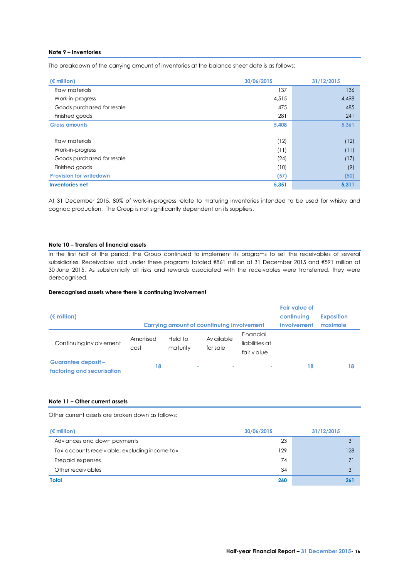# **Note 9 – Inventories**

The breakdown of the carrying amount of inventories at the balance sheet date is as follows:

| $(\epsilon$ million)           | 30/06/2015 | 31/12/2015 |
|--------------------------------|------------|------------|
| Raw materials                  | 137        | 136        |
| Work-in-progress               | 4,515      | 4,498      |
| Goods purchased for resale     | 475        | 485        |
| Finished goods                 | 281        | 241        |
| <b>Gross amounts</b>           | 5,408      | 5,361      |
| Raw materials                  | (12)       | (12)       |
| Work-in-progress               | (11)       | (11)       |
| Goods purchased for resale     | (24)       | (17)       |
| Finished goods                 | (10)       | (9)        |
| <b>Provision for writedown</b> | (57)       | (50)       |
| <b>Inventories net</b>         | 5,351      | 5,311      |

At 31 December 2015, 80% of work-in-progress relate to maturing inventories intended to be used for whisky and cognac production. The Group is not significantly dependent on its suppliers.

### **Note 10 – Transfers of financial assets**

In the first half of the period, the Group continued to implement its programs to sell the receivables of several subsidiaries. Receivables sold under these programs totaled €861 million at 31 December 2015 and €591 million at 30 June 2015. As substantially all risks and rewards associated with the receivables were transferred, they were derecognised.

# **Derecognised assets where there is continuing involvement**

| $(\epsilon$ million)                              |                   |                     | Carrying amount of countinuing involvement |                                           | <b>Fair value of</b><br>confinuing<br><i>involvement</i> | <b>Exposition</b><br>maximale |
|---------------------------------------------------|-------------------|---------------------|--------------------------------------------|-------------------------------------------|----------------------------------------------------------|-------------------------------|
| Continuing inv oly ement                          | Amortised<br>cost | Held to<br>maturity | Av ailable<br>for sale                     | Financial<br>liabilities at<br>fair value |                                                          |                               |
| Guarantee deposit -<br>factoring and securisation | 18                |                     | ٠<br>۰                                     | $\sim$                                    | 18                                                       | 18                            |

# **Note 11 – Other current assets**

Other current assets are broken down as follows:

| Other current assets are broken down as follows: |            |            |
|--------------------------------------------------|------------|------------|
| $(\epsilon$ million)                             | 30/06/2015 | 31/12/2015 |
| Advances and down payments                       | 23         | 31         |
| Tax accounts receiv able, excluding income tax   | 129        | 128        |
| Prepaid expenses                                 | 74         | 71         |
| Other receiv ables                               | 34         | 31         |
| Total                                            | 260        | 261        |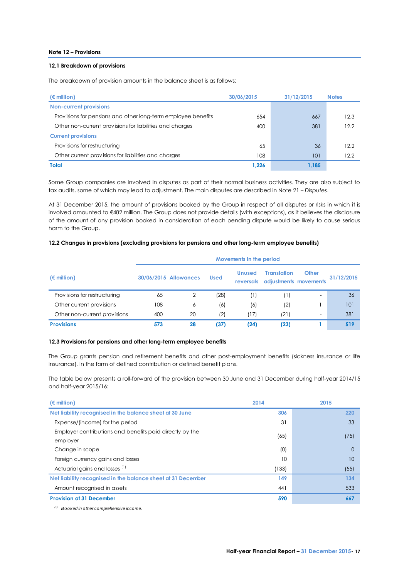# **Note 12 – Provisions**

# **12.1 Breakdown of provisions**

The breakdown of provision amounts in the balance sheet is as follows:

| $(\epsilon$ million)                                          | 30/06/2015 | 31/12/2015 | <b>Notes</b> |
|---------------------------------------------------------------|------------|------------|--------------|
| <b>Non-current provisions</b>                                 |            |            |              |
| Provisions for pensions and other long-term employee benefits | 654        | 667        | 12.3         |
| Other non-current provisions for liabilities and charges      | 400        | 381        | 12.2         |
| <b>Current provisions</b>                                     |            |            |              |
| Provisions for restructuring                                  | 65         | 36         | 12.2         |
| Other current provisions for liabilities and charges          | 108        | 101        | 12.2         |
| <b>Total</b>                                                  | 1.226      | 1.185      |              |

Some Group companies are involved in disputes as part of their normal business activities. They are also subject to tax audits, some of which may lead to adjustment. The main disputes are described in Note 21 – *Disputes*.

At 31 December 2015, the amount of provisions booked by the Group in respect of all disputes or risks in which it is involved amounted to €482 million. The Group does not provide details (with exceptions), as it believes the disclosure of the amount of any provision booked in consideration of each pending dispute would be likely to cause serious harm to the Group.

### **12.2 Changes in provisions (excluding provisions for pensions and other long-term employee benefits)**

|                              | Movements in the period |                       |             |                            |                                             |                          |            |
|------------------------------|-------------------------|-----------------------|-------------|----------------------------|---------------------------------------------|--------------------------|------------|
| (€ million)                  |                         | 30/06/2015 Allowances | <b>Used</b> | <b>Unused</b><br>reversals | <b>Translation</b><br>adjustments movements | <b>Other</b>             | 31/12/2015 |
| Provisions for restructuring | 65                      | 2                     | (28)        | (1)                        | (1)                                         | $\overline{\phantom{a}}$ | 36         |
| Other current provisions     | 108                     | 6                     | (6)         | (6)                        | (2)                                         |                          | 101        |
| Other non-current provisions | 400                     | 20                    | (2)         | (17)                       | (21)                                        | -                        | 381        |
| <b>Provisions</b>            | 573                     | 28                    | (37)        | (24)                       | (23)                                        |                          | 519        |

#### **12.3 Provisions for pensions and other long-term employee benefits**

The Group grants pension and retirement benefits and other post-employment benefits (sickness insurance or life insurance), in the form of defined contribution or defined benefit plans.

The table below presents a roll-forward of the provision between 30 June and 31 December during half-year 2014/15 and half-year 2015/16:

| $(\epsilon$ million)                                                 | 2014  | 2015     |
|----------------------------------------------------------------------|-------|----------|
| Net liability recognised in the balance sheet at 30 June             | 306   | 220      |
| Expense/(income) for the period                                      | 31    | 33       |
| Employer contributions and benefits paid directly by the<br>employer | (65)  | (75)     |
| Change in scope                                                      | (0)   | $\Omega$ |
| Foreign currency gains and losses                                    | 10    | 10       |
| Actuarial gains and losses <sup>(1)</sup>                            | (133) | (55)     |
| Net liability recognised in the balance sheet at 31 December         | 149   | 134      |
| Amount recognised in assets                                          | 441   | 533      |
| <b>Provision at 31 December</b>                                      | 590   | 667      |

*(1) Booked in other comprehensive income.*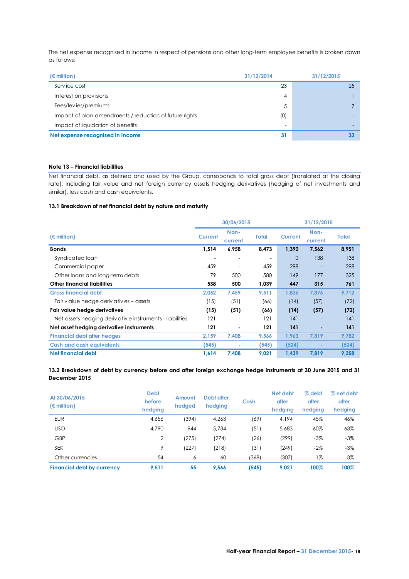The net expense recognised in income in respect of pensions and other long-term employee benefits is broken down as follows:

| as follows:                                            |            |            |
|--------------------------------------------------------|------------|------------|
| $(\epsilon$ million)                                   | 31/12/2014 | 31/12/2015 |
| Service cost                                           | 23         | 25         |
| Interest on provisions                                 | 4          |            |
| Fees/levies/premiums                                   | 5          |            |
| Impact of plan amendments / reduction of future rights | (0)        |            |
| Impact of liquidation of benefits                      |            |            |
| Net expense recognised in income                       | 31         | 33         |

# **Note 13 – Financial liabilities**

Net financial debt, as defined and used by the Group, corresponds to total gross debt (translated at the closing rate), including fair value and net foreign currency assets hedging derivatives (hedging of net investments and similar), less cash and cash equivalents.

# **13.1 Breakdown of net financial debt by nature and maturity**

|                                                         |                | 30/06/2015      |              | 31/12/2015     |                 |       |
|---------------------------------------------------------|----------------|-----------------|--------------|----------------|-----------------|-------|
| $(\epsilon$ million)                                    | <b>Current</b> | Non-<br>current | <b>Total</b> | <b>Current</b> | Non-<br>current | Total |
| <b>Bonds</b>                                            | 1,514          | 6,958           | 8,473        | 1,390          | 7,562           | 8,951 |
| Syndicated loan                                         |                |                 |              | 0              | 138             | 138   |
| Commercial paper                                        | 459            |                 | 459          | 298            |                 | 298   |
| Other loans and long-term debts                         | 79             | 500             | 580          | 149            | 177             | 325   |
| <b>Other financial liabilities</b>                      | 538            | 500             | 1,039        | 447            | 315             | 761   |
| <b>Gross financial debt</b>                             | 2,052          | 7,459           | 9,511        | 1.836          | 7.876           | 9,712 |
| Fair y alue hedge derivatives – assets                  | (15)           | (51)            | (66)         | (14)           | (57)            | (72)  |
| Fair value hedge derivatives                            | (15)           | (51)            | (66)         | (14)           | (57)            | (72)  |
| Net assets hedging derivative instruments - liabilities | 121            |                 | 121          | 141            |                 | 141   |
| Net asset hedging derivative instruments                | 121            |                 | 121          | 141            | ٠               | 141   |
| <b>Financial debt after hedges</b>                      | 2,159          | 7,408           | 9,566        | 1,963          | 7,819           | 9,782 |
| <b>Cash and cash equivalents</b>                        | (545)          |                 | (545)        | (524)          |                 | (524) |
| Net financial debt                                      | 1,614          | 7,408           | 9,021        | 1,439          | 7.819           | 9,258 |

**13.2 Breakdown of debt by currency before and after foreign exchange hedge instruments at 30 June 2015 and 31 December 2015**

| At 30/06/2015<br>$(\epsilon$ million) | <b>Debt</b><br>before<br>hedging | Amount<br>hedged | Debt after<br>hedging | Cash  | Net debt<br>after<br>hedging | $%$ debt<br>after<br>hedging | % net debt<br>after<br>hedging |
|---------------------------------------|----------------------------------|------------------|-----------------------|-------|------------------------------|------------------------------|--------------------------------|
| <b>EUR</b>                            | 4,656                            | (394)            | 4,263                 | (69)  | 4,194                        | 45%                          | 46%                            |
| <b>USD</b>                            | 4.790                            | 944              | 5.734                 | (51)  | 5,683                        | 60%                          | 63%                            |
| GBP                                   | $\overline{2}$                   | (275)            | (274)                 | (26)  | (299)                        | $-3%$                        | $-3%$                          |
| <b>SEK</b>                            | 9                                | (227)            | (218)                 | (31)  | (249)                        | $-2\%$                       | $-3%$                          |
| Other currencies                      | 54                               | 6                | 60                    | (368) | (307)                        | 1%                           | $-3%$                          |
| <b>Financial debt by currency</b>     | 9.511                            | 55               | 9,566                 | (545) | 9.021                        | 100%                         | 100%                           |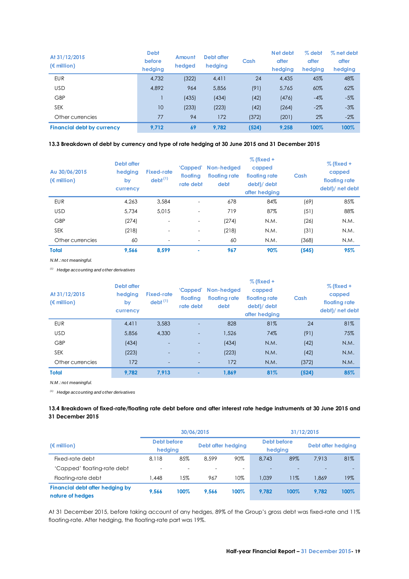| At 31/12/2015<br>$(\epsilon$ million) | <b>Debt</b><br>before<br>hedging | Amount<br>hedged | Debt after<br>hedging | Cash  | Net debt<br>after<br>hedging | % debt<br>after<br>hedging | % net debt<br>after<br>hedging |
|---------------------------------------|----------------------------------|------------------|-----------------------|-------|------------------------------|----------------------------|--------------------------------|
| <b>EUR</b>                            | 4,732                            | (322)            | 4,411                 | 24    | 4,435                        | 45%                        | 48%                            |
| <b>USD</b>                            | 4.892                            | 964              | 5,856                 | (91)  | 5,765                        | 60%                        | 62%                            |
| GBP                                   |                                  | (435)            | (434)                 | (42)  | (476)                        | $-4%$                      | $-5%$                          |
| <b>SEK</b>                            | 10                               | (233)            | (223)                 | (42)  | (264)                        | $-2%$                      | $-3%$                          |
| Other currencies                      | 77                               | 94               | 172                   | (372) | (201)                        | $2\%$                      | $-2%$                          |
| <b>Financial debt by currency</b>     | 9.712                            | 69               | 9.782                 | (524) | 9.258                        | 100%                       | 100%                           |

# **13.3 Breakdown of debt by currency and type of rate hedging at 30 June 2015 and 31 December 2015**

| Au 30/06/2015<br>$(\epsilon$ million) | Debt after<br>hedging<br>by<br>currency | <b>Fixed-rate</b><br>$debt^{(1)}$ | 'Capped'<br>floating<br>rate debt | Non-hedaed<br>floating rate<br>debt | $%$ (fixed +<br>capped<br>floating rate<br>debt)/ debt<br>after hedging | Cash  | $%$ (fixed +<br>capped<br>floating rate<br>debt)/ net debt |
|---------------------------------------|-----------------------------------------|-----------------------------------|-----------------------------------|-------------------------------------|-------------------------------------------------------------------------|-------|------------------------------------------------------------|
| <b>EUR</b>                            | 4.263                                   | 3.584                             | $\overline{\phantom{0}}$          | 678                                 | 84%                                                                     | (69)  | 85%                                                        |
| <b>USD</b>                            | 5.734                                   | 5.015                             | $\overline{\phantom{0}}$          | 719                                 | 87%                                                                     | (51)  | 88%                                                        |
| GBP                                   | (274)                                   | $\overline{\phantom{a}}$          | $\overline{\phantom{a}}$          | (274)                               | N.M.                                                                    | (26)  | N.M.                                                       |
| <b>SEK</b>                            | (218)                                   | $\overline{\phantom{a}}$          | $\overline{\phantom{a}}$          | (218)                               | N.M.                                                                    | (31)  | N.M.                                                       |
| Other currencies                      | 60                                      | $\overline{\phantom{a}}$          |                                   | 60                                  | N.M.                                                                    | (368) | N.M.                                                       |
| <b>Total</b>                          | 9.566                                   | 8.599                             | ۰                                 | 967                                 | 90%                                                                     | (545) | 95%                                                        |

*N.M .: not meaningful.* 

*(1) Hedge accounting and other derivatives*

| At 31/12/2015<br>$(\epsilon$ million) | Debt after<br>hedging<br>by<br>currency | <b>Fixed-rate</b><br>debt <sup>(1)</sup> | 'Capped'<br>floating<br>rate debt | Non-hedaed<br>floating rate<br>debt | $%$ (fixed +<br>capped<br>floating rate<br>debt)/ debt<br>after hedging | Cash  | $%$ (fixed +<br>capped<br>floating rate<br>debt)/ net debt |
|---------------------------------------|-----------------------------------------|------------------------------------------|-----------------------------------|-------------------------------------|-------------------------------------------------------------------------|-------|------------------------------------------------------------|
| <b>EUR</b>                            | 4.411                                   | 3.583                                    |                                   | 828                                 | 81%                                                                     | 24    | 81%                                                        |
| <b>USD</b>                            | 5.856                                   | 4,330                                    | -                                 | 1.526                               | 74%                                                                     | (91)  | 75%                                                        |
| GBP                                   | (434)                                   |                                          | ٠                                 | (434)                               | N.M.                                                                    | (42)  | N.M.                                                       |
| <b>SEK</b>                            | (223)                                   |                                          | $\overline{\phantom{0}}$          | (223)                               | N.M.                                                                    | (42)  | N.M.                                                       |
| Other currencies                      | 172                                     | $\overline{\phantom{a}}$                 | -                                 | 172                                 | N.M.                                                                    | (372) | N.M.                                                       |
| <b>Total</b>                          | 9.782                                   | 7.913                                    | ۰                                 | 1.869                               | 81%                                                                     | (524) | 85%                                                        |

*N.M .: not meaningful.* 

*(1) Hedge accounting and other derivatives*

# **13.4 Breakdown of fixed-rate/floating rate debt before and after interest rate hedge instruments at 30 June 2015 and 31 December 2015**

|                                                     |                        |      | 30/06/2015               |      |                        |      | 31/12/2015         |      |  |
|-----------------------------------------------------|------------------------|------|--------------------------|------|------------------------|------|--------------------|------|--|
| (€ million)                                         | Debt before<br>hedging |      | Debt after hedging       |      | Debt before<br>hedging |      | Debt after hedging |      |  |
| Fixed-rate debt                                     | 8.118                  | 85%  | 8.599                    | 90%  | 8.743                  | 89%  | 7.913              | 81%  |  |
| 'Capped' floating-rate debt                         |                        |      | $\overline{\phantom{0}}$ |      |                        |      |                    |      |  |
| Floating-rate debt                                  | .448                   | 15%  | 967                      | 10%  | 1.039                  | 11%  | 1.869              | 19%  |  |
| Financial debt after hedging by<br>nature of hedges | 9.566                  | 100% | 9.566                    | 100% | 9.782                  | 100% | 9.782              | 100% |  |

At 31 December 2015, before taking account of any hedges, 89% of the Group's gross debt was fixed-rate and 11% floating-rate. After hedging, the floating-rate part was 19%.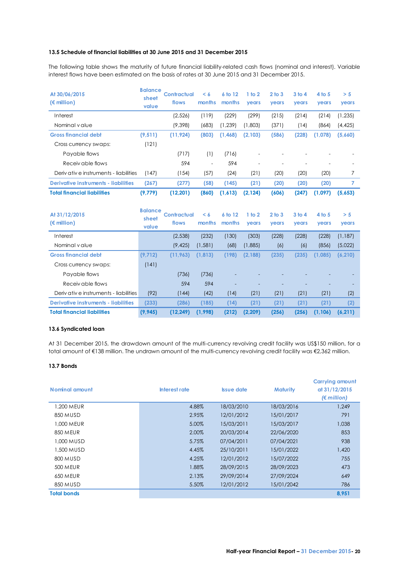### **13.5 Schedule of financial liabilities at 30 June 2015 and 31 December 2015**

The following table shows the maturity of future financial liability-related cash flows (nominal and interest). Variable interest flows have been estimated on the basis of rates at 30 June 2015 and 31 December 2015.

| At 30/06/2015<br>$(\epsilon$ million)       | <b>Balance</b><br>sheet<br>value | <b>Contractual</b><br>flows | $\leq 6$<br>months       | 6 to 12<br>months | 1 <sub>to</sub> 2<br>years | 2 <sub>to</sub> 3<br>years | 3 <sub>to 4</sub><br>years | 4 <sub>to</sub> 5<br>years | > 5<br>years   |
|---------------------------------------------|----------------------------------|-----------------------------|--------------------------|-------------------|----------------------------|----------------------------|----------------------------|----------------------------|----------------|
| Interest                                    |                                  | (2,526)                     | (119)                    | (229)             | (299)                      | (215)                      | (214)                      | (214)                      | (1, 235)       |
| Nominal value                               |                                  | (9,398)                     | (683)                    | (1, 239)          | (1,803)                    | (371)                      | (14)                       | (864)                      | (4, 425)       |
| <b>Gross financial debt</b>                 | (9, 511)                         | (11, 924)                   | (803)                    | (1,468)           | (2,103)                    | (586)                      | (228)                      | (1,078)                    | (5,660)        |
| Cross currency swaps:                       | (121)                            |                             |                          |                   |                            |                            |                            |                            |                |
| Payable flows                               |                                  | (717)                       | (1)                      | (716)             |                            |                            |                            |                            |                |
| Receiv able flows                           |                                  | 594                         | $\overline{\phantom{a}}$ | 594               |                            |                            |                            |                            |                |
| Derivative instruments - liabilities        | (147)                            | (154)                       | (57)                     | (24)              | (21)                       | (20)                       | (20)                       | (20)                       | 7              |
| <b>Derivative instruments - liabilities</b> | (267)                            | (277)                       | (58)                     | (145)             | (21)                       | (20)                       | (20)                       | (20)                       | $\overline{7}$ |
| <b>Total financial liabilities</b>          | (9, 779)                         | (12, 201)                   | (860)                    | (1,613)           | (2, 124)                   | (606)                      | (247)                      | (1,097)                    | (5,653)        |
| At 31/12/2015<br>$(\epsilon$ million)       | <b>Balance</b><br>sheet          | <b>Contractual</b><br>flows | < 6                      | 6 to 12           | 1 to 2                     | 2 <sub>to</sub> 3          | 3 <sub>to</sub> 4          | 4 <sub>to</sub> 5          | > 5            |
|                                             | value                            |                             | months                   | months            | years                      | years                      | years                      | years                      | years          |
| Interest                                    |                                  | (2,538)                     | (232)                    | (130)             | (303)                      | (228)                      | (228)                      | (228)                      | (1, 187)       |
| Nominal value                               |                                  | (9, 425)                    | (1, 581)                 | (68)              | (1,885)                    | (6)                        | (6)                        | (856)                      | (5,022)        |
| <b>Gross financial debt</b>                 | (9, 712)                         | (11, 963)                   | (1,813)                  | (198)             | (2, 188)                   | (235)                      | (235)                      | (1,085)                    | (6, 210)       |
| Cross currency swaps:                       | (141)                            |                             |                          |                   |                            |                            |                            |                            |                |
| Payable flows                               |                                  | (736)                       | (736)                    |                   |                            |                            |                            |                            |                |
| Receiv able flows                           |                                  | 594                         | 594                      |                   |                            |                            |                            |                            |                |
| Derivative instruments - liabilities        | (92)                             | (144)                       | (42)                     | (14)              | (21)                       | (21)                       | (21)                       | (21)                       | (2)            |
| <b>Derivative instruments - liabilities</b> | (233)                            | (286)                       | (185)                    | (14)              | (21)                       | (21)                       | (21)                       | (21)                       | (2)            |

# **13.6 Syndicated loan**

At 31 December 2015, the drawdown amount of the multi-currency revolving credit facility was US\$150 million, for a total amount of €138 million. The undrawn amount of the multi-currency revolving credit facility was €2,362 million.

# **13.7 Bonds**

| Nominal amount     | Interest rate | <b>Issue date</b> | <b>Maturity</b> | <b>Carrying amount</b><br>at 31/12/2015<br>$(\epsilon$ million) |
|--------------------|---------------|-------------------|-----------------|-----------------------------------------------------------------|
| 1.200 MEUR         | 4.88%         | 18/03/2010        | 18/03/2016      | 1.249                                                           |
| 850 MUSD           | 2.95%         | 12/01/2012        | 15/01/2017      | 791                                                             |
| 1,000 MEUR         | 5.00%         | 15/03/2011        | 15/03/2017      | 1,038                                                           |
| 850 MEUR           | 2.00%         | 20/03/2014        | 22/06/2020      | 853                                                             |
| 1,000 MUSD         | 5.75%         | 07/04/2011        | 07/04/2021      | 938                                                             |
| 1,500 MUSD         | 4.45%         | 25/10/2011        | 15/01/2022      | 1,420                                                           |
| 800 MUSD           | 4.25%         | 12/01/2012        | 15/07/2022      | 755                                                             |
| 500 MEUR           | 1.88%         | 28/09/2015        | 28/09/2023      | 473                                                             |
| 650 MEUR           | 2.13%         | 29/09/2014        | 27/09/2024      | 649                                                             |
| 850 MUSD           | 5.50%         | 12/01/2012        | 15/01/2042      | 786                                                             |
| <b>Total bonds</b> |               |                   |                 | 8.951                                                           |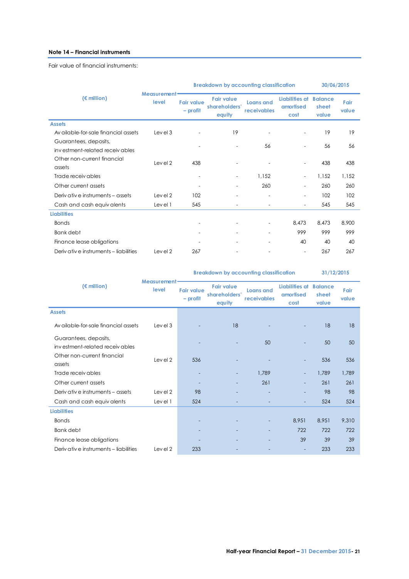# **Note 14 – Financial instruments**

Fair value of financial instruments:

|                                                         |                                                                                                                    | <b>Breakdown by accounting classification</b> | 30/06/2015                      |                                     |                                  |               |       |
|---------------------------------------------------------|--------------------------------------------------------------------------------------------------------------------|-----------------------------------------------|---------------------------------|-------------------------------------|----------------------------------|---------------|-------|
| $(\epsilon$ million)                                    | Measurement <sup>®</sup><br><b>Fair value</b><br>level<br><b>Fair value</b><br>shareholders'<br>- profit<br>equity |                                               | <b>Loans and</b><br>receivables | Liabilities at<br>amortised<br>cost | <b>Balance</b><br>sheet<br>value | Fair<br>value |       |
| <b>Assets</b>                                           |                                                                                                                    |                                               |                                 |                                     |                                  |               |       |
| Av ailable-for-sale financial assets                    | Level 3                                                                                                            |                                               | 19                              |                                     | $\sim$                           | 19            | 19    |
| Guarantees, deposits,<br>investment-related receivables |                                                                                                                    |                                               | $\overline{\phantom{a}}$        | 56                                  | $\overline{\phantom{a}}$         | 56            | 56    |
| Other non-current financial<br>assets                   | Level 2                                                                                                            | 438                                           |                                 |                                     | $\overline{\phantom{a}}$         | 438           | 438   |
| Trade receiv ables                                      |                                                                                                                    |                                               | $\overline{\phantom{a}}$        | 1,152                               | $\overline{\phantom{a}}$         | 1,152         | 1,152 |
| Other current assets                                    |                                                                                                                    |                                               | $\equiv$                        | 260                                 | $\blacksquare$                   | 260           | 260   |
| Deriv ative instruments – assets                        | Level 2                                                                                                            | 102                                           |                                 |                                     | $\blacksquare$                   | 102           | 102   |
| Cash and cash equivalents                               | Level 1                                                                                                            | 545                                           |                                 |                                     | $\blacksquare$                   | 545           | 545   |
| <b>Liabilities</b>                                      |                                                                                                                    |                                               |                                 |                                     |                                  |               |       |
| <b>Bonds</b>                                            |                                                                                                                    |                                               |                                 | $\blacksquare$                      | 8,473                            | 8,473         | 8,900 |
| <b>Bank</b> debt                                        |                                                                                                                    |                                               |                                 |                                     | 999                              | 999           | 999   |
| Finance lease obligations                               |                                                                                                                    |                                               |                                 |                                     | 40                               | 40            | 40    |
| Derivative instruments - liabilities                    | Level 2                                                                                                            | 267                                           |                                 |                                     | $\overline{\phantom{a}}$         | 267           | 267   |

|                                                         |                                   |                                 | <b>Breakdown by accounting classification</b> | 31/12/2015                             |                                     |                                  |               |
|---------------------------------------------------------|-----------------------------------|---------------------------------|-----------------------------------------------|----------------------------------------|-------------------------------------|----------------------------------|---------------|
| $(\epsilon$ million)                                    | Measurement <sup>®</sup><br>level | <b>Fair value</b><br>$-$ profit | <b>Fair value</b><br>shareholders'<br>equity  | <b>Loans and</b><br><b>receivables</b> | Liabilities at<br>amortised<br>cost | <b>Balance</b><br>sheet<br>value | Fair<br>value |
| <b>Assets</b>                                           |                                   |                                 |                                               |                                        |                                     |                                  |               |
| Av ailable-for-sale financial assets                    | Level 3                           |                                 | 18                                            |                                        |                                     | 18                               | 18            |
| Guarantees, deposits,<br>investment-related receivables |                                   |                                 |                                               | 50                                     |                                     | 50                               | 50            |
| Other non-current financial<br>assets                   | Level 2                           | 536                             |                                               |                                        |                                     | 536                              | 536           |
| Trade receiv ables                                      |                                   |                                 | $\overline{\phantom{0}}$                      | 1.789                                  | $\overline{\phantom{a}}$            | 1,789                            | 1,789         |
| Other current assets                                    |                                   |                                 |                                               | 261                                    | $\qquad \qquad -$                   | 261                              | 261           |
| Deriv ative instruments – assets                        | Level 2                           | 98                              |                                               |                                        |                                     | 98                               | 98            |
| Cash and cash equivalents                               | Level 1                           | 524                             |                                               |                                        | $\overline{a}$                      | 524                              | 524           |
| <b>Liabilities</b>                                      |                                   |                                 |                                               |                                        |                                     |                                  |               |
| <b>Bonds</b>                                            |                                   |                                 |                                               |                                        | 8.951                               | 8.951                            | 9,310         |
| <b>Bank</b> debt                                        |                                   |                                 |                                               |                                        | 722                                 | 722                              | 722           |
| Finance lease obligations                               |                                   |                                 |                                               |                                        | 39                                  | 39                               | 39            |
| Derivative instruments - liabilities                    | Level 2                           | 233                             |                                               |                                        |                                     | 233                              | 233           |
|                                                         |                                   |                                 |                                               |                                        |                                     |                                  |               |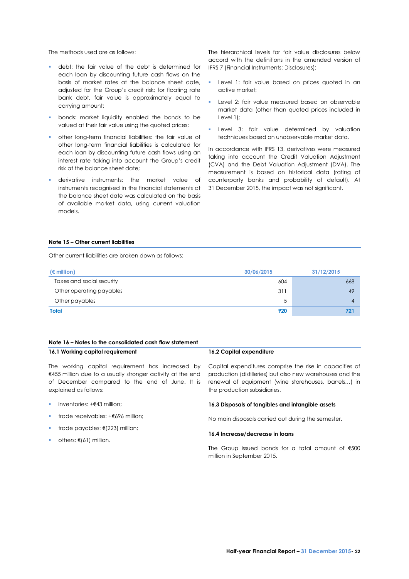The methods used are as follows:

- debt: the fair value of the debt is determined for each loan by discounting future cash flows on the basis of market rates at the balance sheet date, adjusted for the Group's credit risk; for floating rate bank debt, fair value is approximately equal to carrying amount;
- **bonds:** market liquidity enabled the bonds to be valued at their fair value using the quoted prices;
- other long-term financial liabilities: the fair value of other long-term financial liabilities is calculated for each loan by discounting future cash flows using an interest rate taking into account the Group's credit risk at the balance sheet date;
- derivative instruments: the market value of instruments recognised in the financial statements at the balance sheet date was calculated on the basis of available market data, using current valuation models.

The hierarchical levels for fair value disclosures below accord with the definitions in the amended version of IFRS 7 (Financial Instruments: Disclosures):

- Level 1: fair value based on prices quoted in an active market;
- **Level 2: fair value measured based on observable** market data (other than quoted prices included in Level 1);
- **Level 3: fair value determined by valuation** techniques based on unobservable market data.

In accordance with IFRS 13, derivatives were measured taking into account the Credit Valuation Adjustment (CVA) and the Debt Valuation Adjustment (DVA). The measurement is based on historical data (rating of counterparty banks and probability of default). At 31 December 2015, the impact was not significant.

### **Note 15 – Other current liabilities**

Other current liabilities are broken down as follows:

| $(\epsilon$ million)      | 30/06/2015 | 31/12/2015 |
|---------------------------|------------|------------|
| Taxes and social security | 604        | 668        |
| Other operating payables  | 311        | 49         |
| Other payables            | 5          | 4          |
| <b>Total</b>              | 920        | 721        |

# **Note 16 – Notes to the consolidated cash flow statement**

**16.1 Working capital requirement**

The working capital requirement has increased by €455 million due to a usually stronger activity at the end of December compared to the end of June. It is explained as follows:

- inventories: +€43 million;
- trade receivables: +€696 million;
- trade payables: €(223) million;
- others: €(61) million.

### **16.2 Capital expenditure**

Capital expenditures comprise the rise in capacities of production (distilleries) but also new warehouses and the renewal of equipment (wine storehouses, barrels…) in the production subsidiaries.

#### **16.3 Disposals of tangibles and intangible assets**

No main disposals carried out during the semester.

#### **16.4 Increase/decrease in loans**

The Group issued bonds for a total amount of €500 million in September 2015.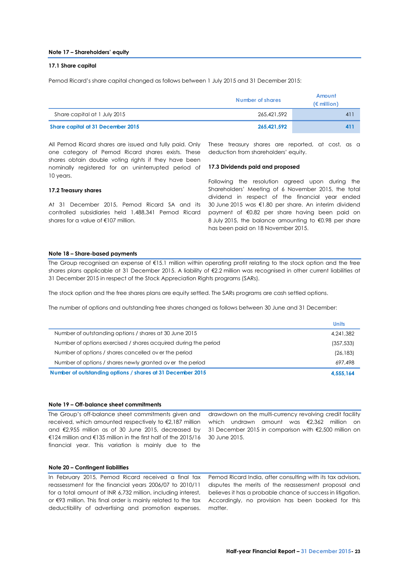#### **Note 17 – Shareholders' equity**

#### **17.1 Share capital**

Pernod Ricard's share capital changed as follows between 1 July 2015 and 31 December 2015:

|                                   | Number of shares | Amount<br>$(\epsilon$ million) |
|-----------------------------------|------------------|--------------------------------|
| Share capital at 1 July 2015      | 265.421.592      | 41'                            |
| Share capital at 31 December 2015 | 265.421.592      | 411                            |

All Pernod Ricard shares are issued and fully paid. Only one category of Pernod Ricard shares exists. These shares obtain double voting rights if they have been nominally registered for an uninterrupted period of 10 years.

These treasury shares are reported, at cost, as a deduction from shareholders' equity.

#### **17.3 Dividends paid and proposed**

#### **17.2 Treasury shares**

At 31 December 2015, Pernod Ricard SA and its controlled subsidiaries held 1,488,341 Pernod Ricard shares for a value of €107 million.

Following the resolution agreed upon during the Shareholders' Meeting of 6 November 2015, the total dividend in respect of the financial year ended 30 June 2015 was €1.80 per share. An interim dividend payment of €0.82 per share having been paid on 8 July 2015, the balance amounting to €0.98 per share has been paid on 18 November 2015.

# **Note 18 – Share-based payments**

The Group recognised an expense of €15.1 million within operating profit relating to the stock option and the free shares plans applicable at 31 December 2015. A liability of €2.2 million was recognised in other current liabilities at 31 December 2015 in respect of the Stock Appreciation Rights programs (SARs).

The stock option and the free shares plans are equity settled. The SARs programs are cash settled options.

The number of options and outstanding free shares changed as follows between 30 June and 31 December:

| Number of outstanding options / shares at 31 December 2015      | 4.555.164    |
|-----------------------------------------------------------------|--------------|
| Number of options / shares newly granted over the period        | 697.498      |
| Number of options / shares cancelled over the period            | (26, 183)    |
| Number of options exercised / shares acquired during the period | (357, 533)   |
| Number of outstanding options / shares at 30 June 2015          | 4.241.382    |
|                                                                 | <b>Units</b> |

#### **Note 19 – Off-balance sheet commitments**

The Group's off-balance sheet commitments given and received, which amounted respectively to €2,187 million and €2,955 million as of 30 June 2015, decreased by €124 million and €135 million in the first half of the 2015/16 financial year. This variation is mainly due to the

drawdown on the multi-currency revolving credit facility which undrawn amount was €2,362 million on 31 December 2015 in comparison with €2,500 million on 30 June 2015.

#### **Note 20 – Contingent liabilities**

In February 2015, Pernod Ricard received a final tax reassessment for the financial years 2006/07 to 2010/11 for a total amount of INR 6,732 million, including interest, or €93 million. This final order is mainly related to the tax deductibility of advertising and promotion expenses.

Pernod Ricard India, after consulting with its tax advisors, disputes the merits of the reassessment proposal and believes it has a probable chance of success in litigation. Accordingly, no provision has been booked for this matter.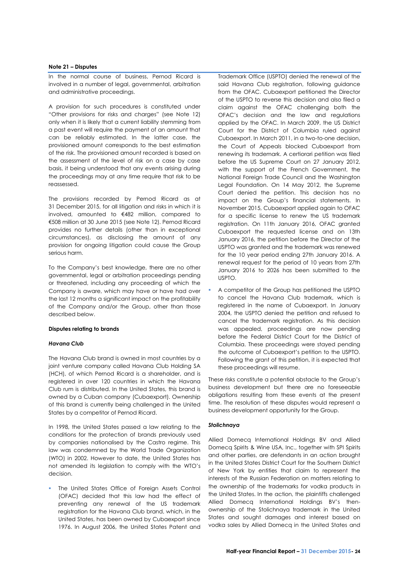#### **Note 21 – Disputes**

In the normal course of business, Pernod Ricard is involved in a number of legal, governmental, arbitration and administrative proceedings.

A provision for such procedures is constituted under "Other provisions for risks and charges" (see Note 12) only when it is likely that a current liability stemming from a past event will require the payment of an amount that can be reliably estimated. In the latter case, the provisioned amount corresponds to the best estimation of the risk. The provisioned amount recorded is based on the assessment of the level of risk on a case by case basis, it being understood that any events arising during the proceedings may at any time require that risk to be reassessed.

The provisions recorded by Pernod Ricard as at 31 December 2015, for all litigation and risks in which it is involved, amounted to €482 million, compared to €508 million at 30 June 2015 (see Note 12). Pernod Ricard provides no further details (other than in exceptional circumstances), as disclosing the amount of any provision for ongoing litigation could cause the Group serious harm.

To the Company's best knowledge, there are no other governmental, legal or arbitration proceedings pending or threatened, including any proceeding of which the Company is aware, which may have or have had over the last 12 months a significant impact on the profitability of the Company and/or the Group, other than those described below.

#### **Disputes relating to brands**

#### *Havana Club*

The Havana Club brand is owned in most countries by a joint venture company called Havana Club Holding SA (HCH), of which Pernod Ricard is a shareholder, and is registered in over 120 countries in which the Havana Club rum is distributed. In the United States, this brand is owned by a Cuban company (Cubaexport). Ownership of this brand is currently being challenged in the United States by a competitor of Pernod Ricard.

In 1998, the United States passed a law relating to the conditions for the protection of brands previously used by companies nationalised by the Castro regime. This law was condemned by the World Trade Organization (WTO) in 2002. However to date, the United States has not amended its legislation to comply with the WTO's decision.

 The United States Office of Foreign Assets Control (OFAC) decided that this law had the effect of preventing any renewal of the US trademark registration for the Havana Club brand, which, in the United States, has been owned by Cubaexport since 1976. In August 2006, the United States Patent and

Trademark Office (USPTO) denied the renewal of the said Havana Club registration, following guidance from the OFAC. Cubaexport petitioned the Director of the USPTO to reverse this decision and also filed a claim against the OFAC challenging both the OFAC's decision and the law and regulations applied by the OFAC. In March 2009, the US District Court for the District of Columbia ruled against Cubaexport. In March 2011, in a two-to-one decision, the Court of Appeals blocked Cubaexport from renewing its trademark. A certiorari petition was filed before the US Supreme Court on 27 January 2012, with the support of the French Government, the National Foreign Trade Council and the Washington Legal Foundation. On 14 May 2012, the Supreme Court denied the petition. This decision has no impact on the Group's financial statements. In November 2015, Cubaexport applied again to OFAC for a specific license to renew the US trademark registration. On 11th January 2016, OFAC granted Cubaexport the requested license and on 13th January 2016, the petition before the Director of the USPTO was granted and the trademark was renewed for the 10 year period ending 27th January 2016. A renewal request for the period of 10 years from 27th January 2016 to 2026 has been submitted to the USPTO.

 A competitor of the Group has petitioned the USPTO to cancel the Havana Club trademark, which is registered in the name of Cubaexport. In January 2004, the USPTO denied the petition and refused to cancel the trademark registration. As this decision was appealed, proceedings are now pending before the Federal District Court for the District of Columbia. These proceedings were stayed pending the outcome of Cubaexport's petition to the USPTO. Following the grant of this petition, it is expected that these proceedings will resume.

These risks constitute a potential obstacle to the Group's business development but there are no foreseeable obligations resulting from these events at the present time. The resolution of these disputes would represent a business development opportunity for the Group.

#### *Stolichnaya*

Allied Domecq International Holdings BV and Allied Domecq Spirits & Wine USA, Inc., together with SPI Spirits and other parties, are defendants in an action brought in the United States District Court for the Southern District of New York by entities that claim to represent the interests of the Russian Federation on matters relating to the ownership of the trademarks for vodka products in the United States. In the action, the plaintiffs challenged Allied Domecq International Holdings BV's thenownership of the Stolichnaya trademark in the United States and sought damages and interest based on vodka sales by Allied Domecq in the United States and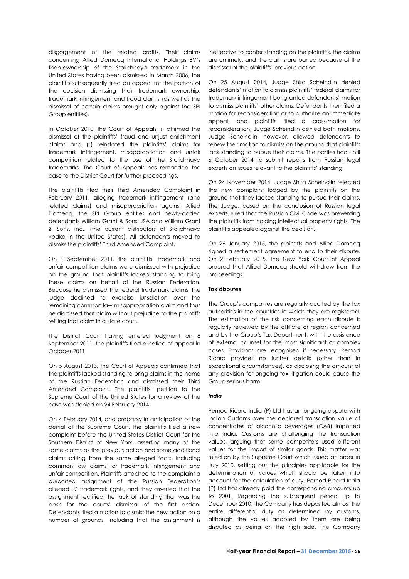disgorgement of the related profits. Their claims concerning Allied Domecq International Holdings BV's then-ownership of the Stolichnaya trademark in the United States having been dismissed in March 2006, the plaintiffs subsequently filed an appeal for the portion of the decision dismissing their trademark ownership, trademark infringement and fraud claims (as well as the dismissal of certain claims brought only against the SPI Group entities).

In October 2010, the Court of Appeals (i) affirmed the dismissal of the plaintiffs' fraud and unjust enrichment claims and (ii) reinstated the plaintiffs' claims for trademark infringement, misappropriation and unfair competition related to the use of the Stolichnaya trademarks. The Court of Appeals has remanded the case to the District Court for further proceedings.

The plaintiffs filed their Third Amended Complaint in February 2011, alleging trademark infringement (and related claims) and misappropriation against Allied Domecq, the SPI Group entities and newly-added defendants William Grant & Sons USA and William Grant & Sons, Inc., (the current distributors of Stolichnaya vodka in the United States). All defendants moved to dismiss the plaintiffs' Third Amended Complaint.

On 1 September 2011, the plaintiffs' trademark and unfair competition claims were dismissed with prejudice on the ground that plaintiffs lacked standing to bring these claims on behalf of the Russian Federation. Because he dismissed the federal trademark claims, the judge declined to exercise jurisdiction over the remaining common law misappropriation claim and thus he dismissed that claim without prejudice to the plaintiffs refiling that claim in a state court.

The District Court having entered judgment on 8 September 2011, the plaintiffs filed a notice of appeal in October 2011.

On 5 August 2013, the Court of Appeals confirmed that the plaintiffs lacked standing to bring claims in the name of the Russian Federation and dismissed their Third Amended Complaint. The plaintiffs' petition to the Supreme Court of the United States for a review of the case was denied on 24 February 2014.

On 4 February 2014, and probably in anticipation of the denial of the Supreme Court, the plaintiffs filed a new complaint before the United States District Court for the Southern District of New York. asserting many of the same claims as the previous action and some additional claims arising from the same alleged facts, including common law claims for trademark infringement and unfair competition. Plaintiffs attached to the complaint a purported assignment of the Russian Federation's alleged US trademark rights, and they asserted that the assignment rectified the lack of standing that was the basis for the courts' dismissal of the first action. Defendants filed a motion to dismiss the new action on a number of grounds, including that the assignment is

ineffective to confer standing on the plaintiffs, the claims are untimely, and the claims are barred because of the dismissal of the plaintiffs' previous action.

On 25 August 2014, Judge Shira Scheindlin denied defendants' motion to dismiss plaintiffs' federal claims for trademark infringement but granted defendants' motion to dismiss plaintiffs' other claims. Defendants then filed a motion for reconsideration or to authorize an immediate appeal, and plaintiffs filed a cross-motion for reconsideration; Judge Scheindlin denied both motions. Judge Scheindlin, however, allowed defendants to renew their motion to dismiss on the ground that plaintiffs lack standing to pursue their claims. The parties had until 6 October 2014 to submit reports from Russian legal experts on issues relevant to the plaintiffs' standing.

On 24 November 2014, Judge Shira Scheindlin rejected the new complaint lodged by the plaintiffs on the ground that they lacked standing to pursue their claims. The Judge, based on the conclusion of Russian legal experts, ruled that the Russian Civil Code was preventing the plaintiffs from holding intellectual property rights. The plaintiffs appealed against the decision.

On 26 January 2015, the plaintiffs and Allied Domecq signed a settlement agreement to end to their dispute. On 2 February 2015, the New York Court of Appeal ordered that Allied Domecq should withdraw from the proceedings.

#### **Tax disputes**

The Group's companies are regularly audited by the tax authorities in the countries in which they are registered. The estimation of the risk concerning each dispute is regularly reviewed by the affiliate or region concerned and by the Group's Tax Department, with the assistance of external counsel for the most significant or complex cases. Provisions are recognised if necessary. Pernod Ricard provides no further details (other than in exceptional circumstances), as disclosing the amount of any provision for ongoing tax litigation could cause the Group serious harm.

#### *India*

Pernod Ricard India (P) Ltd has an ongoing dispute with Indian Customs over the declared transaction value of concentrates of alcoholic beverages (CAB) imported into India. Customs are challenging the transaction values, arguing that some competitors used different values for the import of similar goods. This matter was ruled on by the Supreme Court which issued an order in July 2010, setting out the principles applicable for the determination of values which should be taken into account for the calculation of duty. Pernod Ricard India (P) Ltd has already paid the corresponding amounts up to 2001. Regarding the subsequent period up to December 2010, the Company has deposited almost the entire differential duty as determined by customs, although the values adopted by them are being disputed as being on the high side. The Company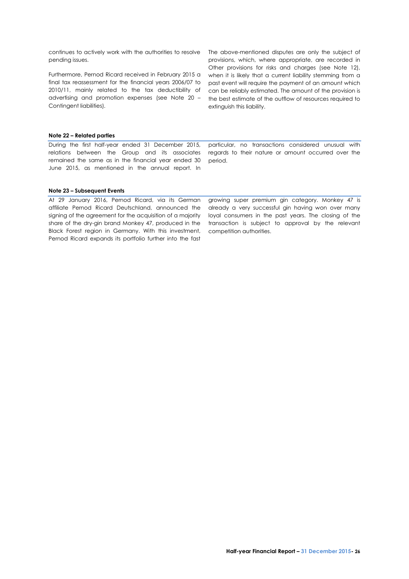continues to actively work with the authorities to resolve pending issues.

Furthermore, Pernod Ricard received in February 2015 a final tax reassessment for the financial years 2006/07 to 2010/11, mainly related to the tax deductibility of advertising and promotion expenses (see Note 20 – Contingent liabilities).

The above-mentioned disputes are only the subject of provisions, which, where appropriate, are recorded in Other provisions for risks and charges (see Note 12), when it is likely that a current liability stemming from a past event will require the payment of an amount which can be reliably estimated. The amount of the provision is the best estimate of the outflow of resources required to extinguish this liability.

# **Note 22 – Related parties**

During the first half-year ended 31 December 2015, relations between the Group and its associates remained the same as in the financial year ended 30 June 2015, as mentioned in the annual report. In particular, no transactions considered unusual with regards to their nature or amount occurred over the period.

#### **Note 23 – Subsequent Events**

At 29 January 2016, Pernod Ricard, via its German affiliate Pernod Ricard Deutschland, announced the signing of the agreement for the acquisition of a majority share of the dry-gin brand Monkey 47, produced in the Black Forest region in Germany. With this investment, Pernod Ricard expands its portfolio further into the fast

growing super premium gin category. Monkey 47 is already a very successful gin having won over many loyal consumers in the past years. The closing of the transaction is subject to approval by the relevant competition authorities.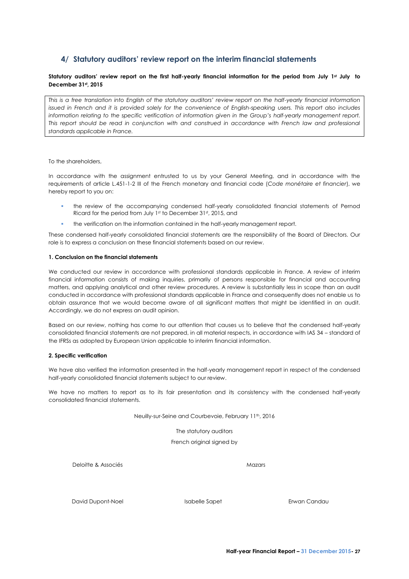# <span id="page-28-0"></span>**4/ Statutory auditors' review report on the interim financial statements**

# **Statutory auditors' review report on the first half-yearly financial information for the period from July 1st July to December 31st, 2015**

*This is a free translation into English of the statutory auditors' review report on the half-yearly financial information issued in French and it is provided solely for the convenience of English-speaking users. This report also includes information relating to the specific verification of information given in the Group's half-yearly management report. This report should be read in conjunction with and construed in accordance with French law and professional standards applicable in France.*

To the shareholders,

In accordance with the assignment entrusted to us by your General Meeting, and in accordance with the requirements of article L.451-1-2 III of the French monetary and financial code (*Code monétaire et financier*), we hereby report to you on:

- the review of the accompanying condensed half-yearly consolidated financial statements of Pernod Ricard for the period from July 1st to December 31st, 2015, and
- the verification on the information contained in the half-yearly management report.

These condensed half-yearly consolidated financial statements are the responsibility of the Board of Directors. Our role is to express a conclusion on these financial statements based on our review.

### **1. Conclusion on the financial statements**

We conducted our review in accordance with professional standards applicable in France. A review of interim financial information consists of making inquiries, primarily of persons responsible for financial and accounting matters, and applying analytical and other review procedures. A review is substantially less in scope than an audit conducted in accordance with professional standards applicable in France and consequently does not enable us to obtain assurance that we would become aware of all significant matters that might be identified in an audit. Accordingly, we do not express an audit opinion.

Based on our review, nothing has come to our attention that causes us to believe that the condensed half-yearly consolidated financial statements are not prepared, in all material respects, in accordance with IAS 34 – standard of the IFRSs as adopted by European Union applicable to interim financial information.

#### **2. Specific verification**

We have also verified the information presented in the half-yearly management report in respect of the condensed half-yearly consolidated financial statements subject to our review.

We have no matters to report as to its fair presentation and its consistency with the condensed half-yearly consolidated financial statements.

Neuilly-sur-Seine and Courbevoie, February 11th, 2016

The statutory auditors

French original signed by

Deloitte & Associés **Mazars** Mazars Mazars Mazars Mazars Mazars Mazars Mazars Mazars Mazars Mazars Mazars Mazars Mazars Mazars Mazars Mazars Mazars Mazars Mazars Mazars Mazars Mazars Mazars Mazars Mazars Mazars Mazars Maza

David Dupont-Noel Isabelle Sapet Erwan Candau